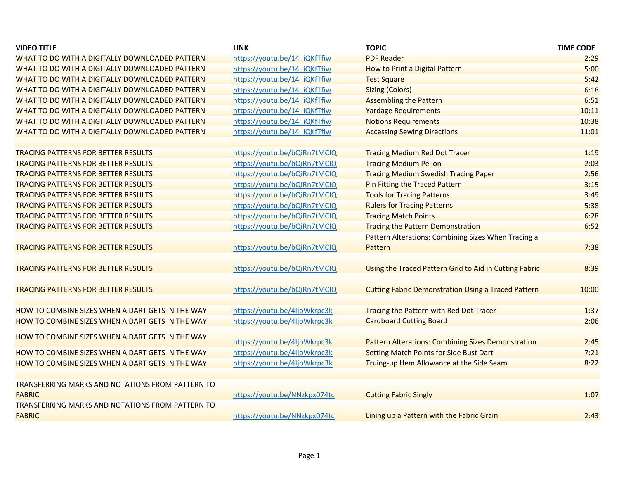| <b>VIDEO TITLE</b>                                      | <b>LINK</b>                  | <b>TOPIC</b>                                               | <b>TIME CODE</b> |
|---------------------------------------------------------|------------------------------|------------------------------------------------------------|------------------|
| WHAT TO DO WITH A DIGITALLY DOWNLOADED PATTERN          | https://youtu.be/14 iQKfTfiw | <b>PDF Reader</b>                                          | 2:29             |
| WHAT TO DO WITH A DIGITALLY DOWNLOADED PATTERN          | https://youtu.be/14 iQKfTfiw | How to Print a Digital Pattern                             | 5:00             |
| WHAT TO DO WITH A DIGITALLY DOWNLOADED PATTERN          | https://youtu.be/14 iQKfTfiw | <b>Test Square</b>                                         | 5:42             |
| WHAT TO DO WITH A DIGITALLY DOWNLOADED PATTERN          | https://youtu.be/14 iQKfTfiw | <b>Sizing (Colors)</b>                                     | 6:18             |
| WHAT TO DO WITH A DIGITALLY DOWNLOADED PATTERN          | https://youtu.be/14_iQKfTfiw | <b>Assembling the Pattern</b>                              | 6:51             |
| WHAT TO DO WITH A DIGITALLY DOWNLOADED PATTERN          | https://youtu.be/14 iQKfTfiw | <b>Yardage Requirements</b>                                | 10:11            |
| WHAT TO DO WITH A DIGITALLY DOWNLOADED PATTERN          | https://youtu.be/14 iQKfTfiw | <b>Notions Requirements</b>                                | 10:38            |
| WHAT TO DO WITH A DIGITALLY DOWNLOADED PATTERN          | https://youtu.be/14 iQKfTfiw | <b>Accessing Sewing Directions</b>                         | 11:01            |
|                                                         |                              |                                                            |                  |
| <b>TRACING PATTERNS FOR BETTER RESULTS</b>              | https://youtu.be/bQiRn7tMCIQ | <b>Tracing Medium Red Dot Tracer</b>                       | 1:19             |
| <b>TRACING PATTERNS FOR BETTER RESULTS</b>              | https://youtu.be/bQiRn7tMCIQ | <b>Tracing Medium Pellon</b>                               | 2:03             |
| <b>TRACING PATTERNS FOR BETTER RESULTS</b>              | https://youtu.be/bQiRn7tMCIQ | <b>Tracing Medium Swedish Tracing Paper</b>                | 2:56             |
| <b>TRACING PATTERNS FOR BETTER RESULTS</b>              | https://youtu.be/bQiRn7tMCIQ | <b>Pin Fitting the Traced Pattern</b>                      | 3:15             |
| <b>TRACING PATTERNS FOR BETTER RESULTS</b>              | https://youtu.be/bQiRn7tMCIQ | <b>Tools for Tracing Patterns</b>                          | 3:49             |
| <b>TRACING PATTERNS FOR BETTER RESULTS</b>              | https://youtu.be/bQiRn7tMCIQ | <b>Rulers for Tracing Patterns</b>                         | 5:38             |
| <b>TRACING PATTERNS FOR BETTER RESULTS</b>              | https://youtu.be/bQiRn7tMCIQ | <b>Tracing Match Points</b>                                | 6:28             |
| <b>TRACING PATTERNS FOR BETTER RESULTS</b>              | https://youtu.be/bQiRn7tMCIQ | <b>Tracing the Pattern Demonstration</b>                   | 6:52             |
|                                                         |                              | Pattern Alterations: Combining Sizes When Tracing a        |                  |
| <b>TRACING PATTERNS FOR BETTER RESULTS</b>              | https://youtu.be/bQiRn7tMCIQ | Pattern                                                    | 7:38             |
|                                                         |                              |                                                            |                  |
| <b>TRACING PATTERNS FOR BETTER RESULTS</b>              | https://youtu.be/bQiRn7tMCIQ | Using the Traced Pattern Grid to Aid in Cutting Fabric     | 8:39             |
|                                                         |                              |                                                            |                  |
| <b>TRACING PATTERNS FOR BETTER RESULTS</b>              | https://youtu.be/bQiRn7tMCIQ | <b>Cutting Fabric Demonstration Using a Traced Pattern</b> | 10:00            |
|                                                         |                              |                                                            |                  |
| HOW TO COMBINE SIZES WHEN A DART GETS IN THE WAY        | https://youtu.be/4IjoWkrpc3k | Tracing the Pattern with Red Dot Tracer                    | 1:37             |
| HOW TO COMBINE SIZES WHEN A DART GETS IN THE WAY        | https://youtu.be/4ljoWkrpc3k | <b>Cardboard Cutting Board</b>                             | 2:06             |
|                                                         |                              |                                                            |                  |
| HOW TO COMBINE SIZES WHEN A DART GETS IN THE WAY        | https://youtu.be/4IjoWkrpc3k | <b>Pattern Alterations: Combining Sizes Demonstration</b>  | 2:45             |
| <b>HOW TO COMBINE SIZES WHEN A DART GETS IN THE WAY</b> | https://youtu.be/4ljoWkrpc3k | <b>Setting Match Points for Side Bust Dart</b>             | 7:21             |
|                                                         |                              |                                                            | 8:22             |
| HOW TO COMBINE SIZES WHEN A DART GETS IN THE WAY        | https://youtu.be/4IjoWkrpc3k | Truing-up Hem Allowance at the Side Seam                   |                  |
|                                                         |                              |                                                            |                  |
| <b>TRANSFERRING MARKS AND NOTATIONS FROM PATTERN TO</b> |                              |                                                            |                  |
| <b>FABRIC</b>                                           | https://youtu.be/NNzkpx074tc | <b>Cutting Fabric Singly</b>                               | 1:07             |
| TRANSFERRING MARKS AND NOTATIONS FROM PATTERN TO        |                              |                                                            |                  |
| <b>FABRIC</b>                                           | https://youtu.be/NNzkpx074tc | Lining up a Pattern with the Fabric Grain                  | 2:43             |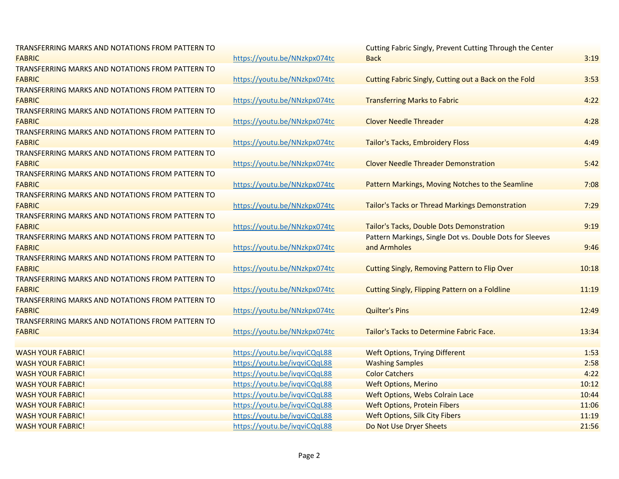| TRANSFERRING MARKS AND NOTATIONS FROM PATTERN TO |                              | Cutting Fabric Singly, Prevent Cutting Through the Center |       |
|--------------------------------------------------|------------------------------|-----------------------------------------------------------|-------|
| <b>FABRIC</b>                                    | https://youtu.be/NNzkpx074tc | <b>Back</b>                                               | 3:19  |
| TRANSFERRING MARKS AND NOTATIONS FROM PATTERN TO |                              |                                                           |       |
| <b>FABRIC</b>                                    | https://youtu.be/NNzkpx074tc | Cutting Fabric Singly, Cutting out a Back on the Fold     | 3:53  |
| TRANSFERRING MARKS AND NOTATIONS FROM PATTERN TO |                              |                                                           |       |
| <b>FABRIC</b>                                    | https://youtu.be/NNzkpx074tc | <b>Transferring Marks to Fabric</b>                       | 4:22  |
| TRANSFERRING MARKS AND NOTATIONS FROM PATTERN TO |                              |                                                           |       |
| <b>FABRIC</b>                                    | https://youtu.be/NNzkpx074tc | <b>Clover Needle Threader</b>                             | 4:28  |
| TRANSFERRING MARKS AND NOTATIONS FROM PATTERN TO |                              |                                                           |       |
| <b>FABRIC</b>                                    | https://youtu.be/NNzkpx074tc | Tailor's Tacks, Embroidery Floss                          | 4:49  |
| TRANSFERRING MARKS AND NOTATIONS FROM PATTERN TO |                              |                                                           |       |
| <b>FABRIC</b>                                    | https://youtu.be/NNzkpx074tc | <b>Clover Needle Threader Demonstration</b>               | 5:42  |
| TRANSFERRING MARKS AND NOTATIONS FROM PATTERN TO |                              |                                                           |       |
| <b>FABRIC</b>                                    | https://youtu.be/NNzkpx074tc | Pattern Markings, Moving Notches to the Seamline          | 7:08  |
| TRANSFERRING MARKS AND NOTATIONS FROM PATTERN TO |                              |                                                           |       |
| <b>FABRIC</b>                                    | https://youtu.be/NNzkpx074tc | Tailor's Tacks or Thread Markings Demonstration           | 7:29  |
| TRANSFERRING MARKS AND NOTATIONS FROM PATTERN TO |                              |                                                           |       |
| <b>FABRIC</b>                                    | https://youtu.be/NNzkpx074tc | Tailor's Tacks, Double Dots Demonstration                 | 9:19  |
| TRANSFERRING MARKS AND NOTATIONS FROM PATTERN TO |                              | Pattern Markings, Single Dot vs. Double Dots for Sleeves  |       |
| <b>FABRIC</b>                                    | https://youtu.be/NNzkpx074tc | and Armholes                                              | 9:46  |
| TRANSFERRING MARKS AND NOTATIONS FROM PATTERN TO |                              |                                                           |       |
| <b>FABRIC</b>                                    | https://youtu.be/NNzkpx074tc | <b>Cutting Singly, Removing Pattern to Flip Over</b>      | 10:18 |
| TRANSFERRING MARKS AND NOTATIONS FROM PATTERN TO |                              |                                                           |       |
| <b>FABRIC</b>                                    | https://youtu.be/NNzkpx074tc | <b>Cutting Singly, Flipping Pattern on a Foldline</b>     | 11:19 |
| TRANSFERRING MARKS AND NOTATIONS FROM PATTERN TO |                              |                                                           |       |
| <b>FABRIC</b>                                    | https://youtu.be/NNzkpx074tc | <b>Quilter's Pins</b>                                     | 12:49 |
| TRANSFERRING MARKS AND NOTATIONS FROM PATTERN TO |                              |                                                           |       |
| <b>FABRIC</b>                                    | https://youtu.be/NNzkpx074tc | Tailor's Tacks to Determine Fabric Face.                  | 13:34 |
|                                                  |                              |                                                           |       |
| <b>WASH YOUR FABRIC!</b>                         | https://youtu.be/ivqviCQqL88 | <b>Weft Options, Trying Different</b>                     | 1:53  |
| <b>WASH YOUR FABRIC!</b>                         | https://youtu.be/ivqviCQqL88 | <b>Washing Samples</b>                                    | 2:58  |
| <b>WASH YOUR FABRIC!</b>                         | https://youtu.be/ivqviCQqL88 | <b>Color Catchers</b>                                     | 4:22  |
| <b>WASH YOUR FABRIC!</b>                         | https://youtu.be/ivqviCQqL88 | <b>Weft Options, Merino</b>                               | 10:12 |
| <b>WASH YOUR FABRIC!</b>                         | https://youtu.be/ivqviCQqL88 | <b>Weft Options, Webs Colrain Lace</b>                    | 10:44 |
| <b>WASH YOUR FABRIC!</b>                         | https://youtu.be/ivqviCQqL88 | <b>Weft Options, Protein Fibers</b>                       | 11:06 |
| <b>WASH YOUR FABRIC!</b>                         | https://youtu.be/ivqviCQqL88 | <b>Weft Options, Silk City Fibers</b>                     | 11:19 |
| <b>WASH YOUR FABRIC!</b>                         | https://youtu.be/ivqviCQqL88 | Do Not Use Dryer Sheets                                   | 21:56 |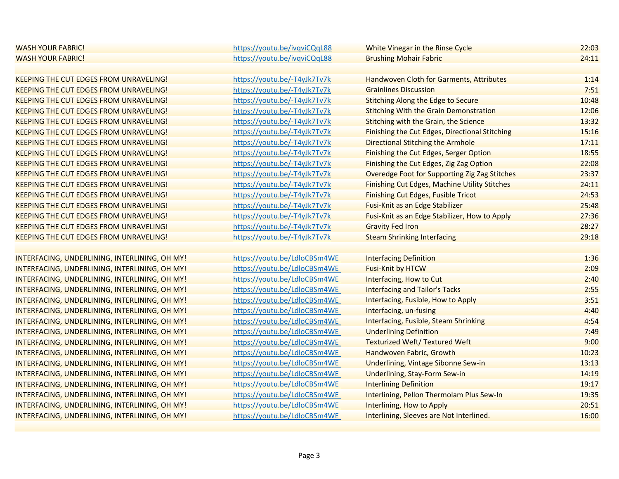| <b>WASH YOUR FABRIC!</b>                      | https://youtu.be/ivqviCQqL88 | White Vinegar in the Rinse Cycle                      | 22:03 |
|-----------------------------------------------|------------------------------|-------------------------------------------------------|-------|
| <b>WASH YOUR FABRIC!</b>                      | https://youtu.be/ivqviCQqL88 | <b>Brushing Mohair Fabric</b>                         | 24:11 |
|                                               |                              |                                                       |       |
| <b>KEEPING THE CUT EDGES FROM UNRAVELING!</b> | https://youtu.be/-T4yJk7Tv7k | Handwoven Cloth for Garments, Attributes              | 1:14  |
| <b>KEEPING THE CUT EDGES FROM UNRAVELING!</b> | https://youtu.be/-T4yJk7Tv7k | <b>Grainlines Discussion</b>                          | 7:51  |
| <b>KEEPING THE CUT EDGES FROM UNRAVELING!</b> | https://youtu.be/-T4yJk7Tv7k | <b>Stitching Along the Edge to Secure</b>             | 10:48 |
| <b>KEEPING THE CUT EDGES FROM UNRAVELING!</b> | https://youtu.be/-T4yJk7Tv7k | <b>Stitching With the Grain Demonstration</b>         | 12:06 |
| <b>KEEPING THE CUT EDGES FROM UNRAVELING!</b> | https://youtu.be/-T4yJk7Tv7k | Stitching with the Grain, the Science                 | 13:32 |
| <b>KEEPING THE CUT EDGES FROM UNRAVELING!</b> | https://youtu.be/-T4yJk7Tv7k | <b>Finishing the Cut Edges, Directional Stitching</b> | 15:16 |
| <b>KEEPING THE CUT EDGES FROM UNRAVELING!</b> | https://youtu.be/-T4yJk7Tv7k | Directional Stitching the Armhole                     | 17:11 |
| <b>KEEPING THE CUT EDGES FROM UNRAVELING!</b> | https://youtu.be/-T4yJk7Tv7k | Finishing the Cut Edges, Serger Option                | 18:55 |
| <b>KEEPING THE CUT EDGES FROM UNRAVELING!</b> | https://youtu.be/-T4yJk7Tv7k | Finishing the Cut Edges, Zig Zag Option               | 22:08 |
| <b>KEEPING THE CUT EDGES FROM UNRAVELING!</b> | https://youtu.be/-T4yJk7Tv7k | Overedge Foot for Supporting Zig Zag Stitches         | 23:37 |
| <b>KEEPING THE CUT EDGES FROM UNRAVELING!</b> | https://youtu.be/-T4yJk7Tv7k | <b>Finishing Cut Edges, Machine Utility Stitches</b>  | 24:11 |
| <b>KEEPING THE CUT EDGES FROM UNRAVELING!</b> | https://youtu.be/-T4yJk7Tv7k | <b>Finishing Cut Edges, Fusible Tricot</b>            | 24:53 |
| <b>KEEPING THE CUT EDGES FROM UNRAVELING!</b> | https://youtu.be/-T4yJk7Tv7k | Fusi-Knit as an Edge Stabilizer                       | 25:48 |
| <b>KEEPING THE CUT EDGES FROM UNRAVELING!</b> | https://youtu.be/-T4yJk7Tv7k | Fusi-Knit as an Edge Stabilizer, How to Apply         | 27:36 |
| <b>KEEPING THE CUT EDGES FROM UNRAVELING!</b> | https://youtu.be/-T4yJk7Tv7k | <b>Gravity Fed Iron</b>                               | 28:27 |
| <b>KEEPING THE CUT EDGES FROM UNRAVELING!</b> | https://youtu.be/-T4yJk7Tv7k | <b>Steam Shrinking Interfacing</b>                    | 29:18 |
|                                               |                              |                                                       |       |
| INTERFACING, UNDERLINING, INTERLINING, OH MY! | https://youtu.be/LdloCBSm4WE | <b>Interfacing Definition</b>                         | 1:36  |
| INTERFACING, UNDERLINING, INTERLINING, OH MY! | https://youtu.be/LdloCBSm4WE | <b>Fusi-Knit by HTCW</b>                              | 2:09  |
| INTERFACING, UNDERLINING, INTERLINING, OH MY! | https://youtu.be/LdloCBSm4WE | Interfacing, How to Cut                               | 2:40  |
| INTERFACING, UNDERLINING, INTERLINING, OH MY! | https://youtu.be/LdloCBSm4WE | <b>Interfacing and Tailor's Tacks</b>                 | 2:55  |
| INTERFACING, UNDERLINING, INTERLINING, OH MY! | https://youtu.be/LdloCBSm4WE | Interfacing, Fusible, How to Apply                    | 3:51  |
| INTERFACING, UNDERLINING, INTERLINING, OH MY! | https://youtu.be/LdloCBSm4WE | Interfacing, un-fusing                                | 4:40  |
| INTERFACING, UNDERLINING, INTERLINING, OH MY! | https://youtu.be/LdloCBSm4WE | Interfacing, Fusible, Steam Shrinking                 | 4:54  |
| INTERFACING, UNDERLINING, INTERLINING, OH MY! | https://youtu.be/LdloCBSm4WE | <b>Underlining Definition</b>                         | 7:49  |
| INTERFACING, UNDERLINING, INTERLINING, OH MY! | https://youtu.be/LdloCBSm4WE | <b>Texturized Weft/ Textured Weft</b>                 | 9:00  |
| INTERFACING, UNDERLINING, INTERLINING, OH MY! | https://youtu.be/LdloCBSm4WE | Handwoven Fabric, Growth                              | 10:23 |
| INTERFACING, UNDERLINING, INTERLINING, OH MY! | https://youtu.be/LdloCBSm4WE | Underlining, Vintage Sibonne Sew-in                   | 13:13 |
| INTERFACING, UNDERLINING, INTERLINING, OH MY! | https://youtu.be/LdloCBSm4WE | <b>Underlining, Stay-Form Sew-in</b>                  | 14:19 |
| INTERFACING, UNDERLINING, INTERLINING, OH MY! | https://youtu.be/LdloCBSm4WE | <b>Interlining Definition</b>                         | 19:17 |
| INTERFACING, UNDERLINING, INTERLINING, OH MY! | https://youtu.be/LdloCBSm4WE | Interlining, Pellon Thermolam Plus Sew-In             | 19:35 |
| INTERFACING, UNDERLINING, INTERLINING, OH MY! | https://youtu.be/LdloCBSm4WE | Interlining, How to Apply                             | 20:51 |
| INTERFACING, UNDERLINING, INTERLINING, OH MY! | https://youtu.be/LdloCBSm4WE | Interlining, Sleeves are Not Interlined.              | 16:00 |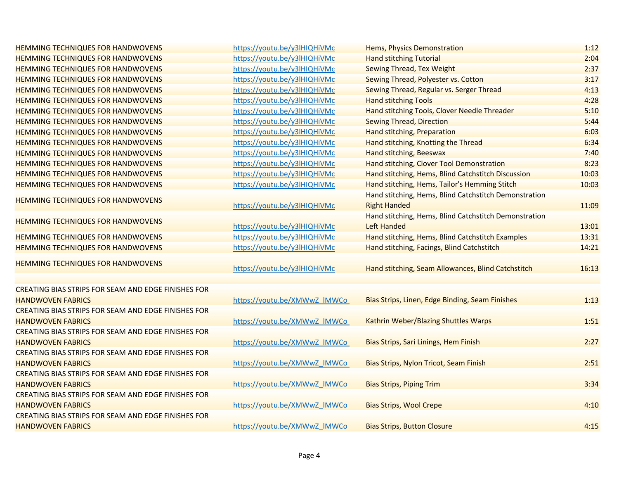| <b>HEMMING TECHNIQUES FOR HANDWOVENS</b>            | https://youtu.be/y3lHIQHiVMc |                                                               | 1:12  |
|-----------------------------------------------------|------------------------------|---------------------------------------------------------------|-------|
| <b>HEMMING TECHNIQUES FOR HANDWOVENS</b>            | https://youtu.be/y3lHIQHiVMc | Hems, Physics Demonstration<br><b>Hand stitching Tutorial</b> | 2:04  |
| <b>HEMMING TECHNIQUES FOR HANDWOVENS</b>            | https://youtu.be/y3lHIQHiVMc | <b>Sewing Thread, Tex Weight</b>                              | 2:37  |
| <b>HEMMING TECHNIQUES FOR HANDWOVENS</b>            | https://youtu.be/y3lHIQHiVMc | Sewing Thread, Polyester vs. Cotton                           | 3:17  |
| <b>HEMMING TECHNIQUES FOR HANDWOVENS</b>            | https://youtu.be/y3lHIQHiVMc | Sewing Thread, Regular vs. Serger Thread                      | 4:13  |
| <b>HEMMING TECHNIQUES FOR HANDWOVENS</b>            | https://youtu.be/y3lHIQHiVMc | <b>Hand stitching Tools</b>                                   | 4:28  |
| <b>HEMMING TECHNIQUES FOR HANDWOVENS</b>            | https://youtu.be/y3lHIQHiVMc | Hand stitching Tools, Clover Needle Threader                  | 5:10  |
| <b>HEMMING TECHNIQUES FOR HANDWOVENS</b>            | https://youtu.be/y3lHIQHiVMc | <b>Sewing Thread, Direction</b>                               | 5:44  |
| <b>HEMMING TECHNIQUES FOR HANDWOVENS</b>            | https://youtu.be/y3lHIQHiVMc | Hand stitching, Preparation                                   | 6:03  |
| <b>HEMMING TECHNIQUES FOR HANDWOVENS</b>            | https://youtu.be/y3lHIQHiVMc | Hand stitching, Knotting the Thread                           | 6:34  |
| <b>HEMMING TECHNIQUES FOR HANDWOVENS</b>            | https://youtu.be/y3lHIQHiVMc | Hand stitching, Beeswax                                       | 7:40  |
| <b>HEMMING TECHNIQUES FOR HANDWOVENS</b>            | https://youtu.be/y3lHIQHiVMc | Hand stitching, Clover Tool Demonstration                     | 8:23  |
| <b>HEMMING TECHNIQUES FOR HANDWOVENS</b>            | https://youtu.be/y3lHIQHiVMc | Hand stitching, Hems, Blind Catchstitch Discussion            | 10:03 |
| <b>HEMMING TECHNIQUES FOR HANDWOVENS</b>            | https://youtu.be/y3lHIQHiVMc | Hand stitching, Hems, Tailor's Hemming Stitch                 | 10:03 |
|                                                     |                              | Hand stitching, Hems, Blind Catchstitch Demonstration         |       |
| <b>HEMMING TECHNIQUES FOR HANDWOVENS</b>            | https://youtu.be/y3lHIQHiVMc | <b>Right Handed</b>                                           | 11:09 |
|                                                     |                              | Hand stitching, Hems, Blind Catchstitch Demonstration         |       |
| <b>HEMMING TECHNIQUES FOR HANDWOVENS</b>            | https://youtu.be/y3lHIQHiVMc | Left Handed                                                   | 13:01 |
| <b>HEMMING TECHNIQUES FOR HANDWOVENS</b>            | https://youtu.be/y3lHIQHiVMc | Hand stitching, Hems, Blind Catchstitch Examples              | 13:31 |
| <b>HEMMING TECHNIQUES FOR HANDWOVENS</b>            | https://youtu.be/y3lHIQHiVMc | Hand stitching, Facings, Blind Catchstitch                    | 14:21 |
|                                                     |                              |                                                               |       |
| <b>HEMMING TECHNIQUES FOR HANDWOVENS</b>            | https://youtu.be/y3lHIQHiVMc | Hand stitching, Seam Allowances, Blind Catchstitch            | 16:13 |
|                                                     |                              |                                                               |       |
| CREATING BIAS STRIPS FOR SEAM AND EDGE FINISHES FOR |                              |                                                               |       |
| <b>HANDWOVEN FABRICS</b>                            | https://youtu.be/XMWwZ IMWCo | Bias Strips, Linen, Edge Binding, Seam Finishes               | 1:13  |
| CREATING BIAS STRIPS FOR SEAM AND EDGE FINISHES FOR |                              |                                                               |       |
| <b>HANDWOVEN FABRICS</b>                            | https://youtu.be/XMWwZ IMWCo | Kathrin Weber/Blazing Shuttles Warps                          | 1:51  |
| CREATING BIAS STRIPS FOR SEAM AND EDGE FINISHES FOR |                              |                                                               |       |
| <b>HANDWOVEN FABRICS</b>                            | https://youtu.be/XMWwZ IMWCo | Bias Strips, Sari Linings, Hem Finish                         | 2:27  |
| CREATING BIAS STRIPS FOR SEAM AND EDGE FINISHES FOR |                              |                                                               |       |
| <b>HANDWOVEN FABRICS</b>                            | https://youtu.be/XMWwZ_IMWCo | Bias Strips, Nylon Tricot, Seam Finish                        | 2:51  |
| CREATING BIAS STRIPS FOR SEAM AND EDGE FINISHES FOR |                              |                                                               |       |
| <b>HANDWOVEN FABRICS</b>                            | https://youtu.be/XMWwZ IMWCo | <b>Bias Strips, Piping Trim</b>                               | 3:34  |
| CREATING BIAS STRIPS FOR SEAM AND EDGE FINISHES FOR |                              |                                                               |       |
| <b>HANDWOVEN FABRICS</b>                            | https://youtu.be/XMWwZ IMWCo | <b>Bias Strips, Wool Crepe</b>                                | 4:10  |
| CREATING BIAS STRIPS FOR SEAM AND EDGE FINISHES FOR |                              |                                                               |       |
| <b>HANDWOVEN FABRICS</b>                            | https://youtu.be/XMWwZ_IMWCo | <b>Bias Strips, Button Closure</b>                            | 4:15  |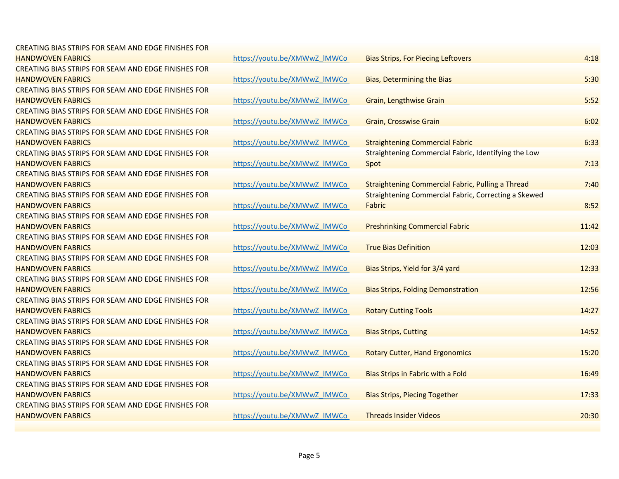| CREATING BIAS STRIPS FOR SEAM AND EDGE FINISHES FOR |                              |                                                             |       |
|-----------------------------------------------------|------------------------------|-------------------------------------------------------------|-------|
| <b>HANDWOVEN FABRICS</b>                            | https://youtu.be/XMWwZ IMWCo | <b>Bias Strips, For Piecing Leftovers</b>                   | 4:18  |
| CREATING BIAS STRIPS FOR SEAM AND EDGE FINISHES FOR |                              |                                                             |       |
| <b>HANDWOVEN FABRICS</b>                            | https://youtu.be/XMWwZ IMWCo | <b>Bias, Determining the Bias</b>                           | 5:30  |
| CREATING BIAS STRIPS FOR SEAM AND EDGE FINISHES FOR |                              |                                                             |       |
| <b>HANDWOVEN FABRICS</b>                            | https://youtu.be/XMWwZ_IMWCo | <b>Grain, Lengthwise Grain</b>                              | 5:52  |
| CREATING BIAS STRIPS FOR SEAM AND EDGE FINISHES FOR |                              |                                                             |       |
| <b>HANDWOVEN FABRICS</b>                            | https://youtu.be/XMWwZ IMWCo | <b>Grain, Crosswise Grain</b>                               | 6:02  |
| CREATING BIAS STRIPS FOR SEAM AND EDGE FINISHES FOR |                              |                                                             |       |
| <b>HANDWOVEN FABRICS</b>                            | https://youtu.be/XMWwZ IMWCo | <b>Straightening Commercial Fabric</b>                      | 6:33  |
| CREATING BIAS STRIPS FOR SEAM AND EDGE FINISHES FOR |                              | Straightening Commercial Fabric, Identifying the Low        |       |
| <b>HANDWOVEN FABRICS</b>                            | https://youtu.be/XMWwZ_IMWCo | Spot                                                        | 7:13  |
| CREATING BIAS STRIPS FOR SEAM AND EDGE FINISHES FOR |                              |                                                             |       |
| <b>HANDWOVEN FABRICS</b>                            | https://youtu.be/XMWwZ IMWCo | <b>Straightening Commercial Fabric, Pulling a Thread</b>    | 7:40  |
| CREATING BIAS STRIPS FOR SEAM AND EDGE FINISHES FOR |                              | <b>Straightening Commercial Fabric, Correcting a Skewed</b> |       |
| <b>HANDWOVEN FABRICS</b>                            | https://youtu.be/XMWwZ IMWCo | Fabric                                                      | 8:52  |
| CREATING BIAS STRIPS FOR SEAM AND EDGE FINISHES FOR |                              |                                                             |       |
| <b>HANDWOVEN FABRICS</b>                            | https://youtu.be/XMWwZ_IMWCo | <b>Preshrinking Commercial Fabric</b>                       | 11:42 |
| CREATING BIAS STRIPS FOR SEAM AND EDGE FINISHES FOR |                              |                                                             |       |
| <b>HANDWOVEN FABRICS</b>                            | https://youtu.be/XMWwZ IMWCo | <b>True Bias Definition</b>                                 | 12:03 |
| CREATING BIAS STRIPS FOR SEAM AND EDGE FINISHES FOR |                              |                                                             |       |
| <b>HANDWOVEN FABRICS</b>                            | https://youtu.be/XMWwZ IMWCo | Bias Strips, Yield for 3/4 yard                             | 12:33 |
| CREATING BIAS STRIPS FOR SEAM AND EDGE FINISHES FOR |                              |                                                             |       |
| <b>HANDWOVEN FABRICS</b>                            | https://youtu.be/XMWwZ IMWCo | <b>Bias Strips, Folding Demonstration</b>                   | 12:56 |
| CREATING BIAS STRIPS FOR SEAM AND EDGE FINISHES FOR |                              |                                                             |       |
| <b>HANDWOVEN FABRICS</b>                            | https://youtu.be/XMWwZ IMWCo | <b>Rotary Cutting Tools</b>                                 | 14:27 |
| CREATING BIAS STRIPS FOR SEAM AND EDGE FINISHES FOR |                              |                                                             |       |
| <b>HANDWOVEN FABRICS</b>                            | https://youtu.be/XMWwZ IMWCo | <b>Bias Strips, Cutting</b>                                 | 14:52 |
| CREATING BIAS STRIPS FOR SEAM AND EDGE FINISHES FOR |                              |                                                             |       |
| <b>HANDWOVEN FABRICS</b>                            | https://youtu.be/XMWwZ IMWCo | <b>Rotary Cutter, Hand Ergonomics</b>                       | 15:20 |
| CREATING BIAS STRIPS FOR SEAM AND EDGE FINISHES FOR |                              |                                                             |       |
| <b>HANDWOVEN FABRICS</b>                            | https://youtu.be/XMWwZ IMWCo | Bias Strips in Fabric with a Fold                           | 16:49 |
| CREATING BIAS STRIPS FOR SEAM AND EDGE FINISHES FOR |                              |                                                             |       |
| <b>HANDWOVEN FABRICS</b>                            | https://youtu.be/XMWwZ IMWCo | <b>Bias Strips, Piecing Together</b>                        | 17:33 |
| CREATING BIAS STRIPS FOR SEAM AND EDGE FINISHES FOR |                              |                                                             |       |
| <b>HANDWOVEN FABRICS</b>                            | https://youtu.be/XMWwZ IMWCo | <b>Threads Insider Videos</b>                               | 20:30 |
|                                                     |                              |                                                             |       |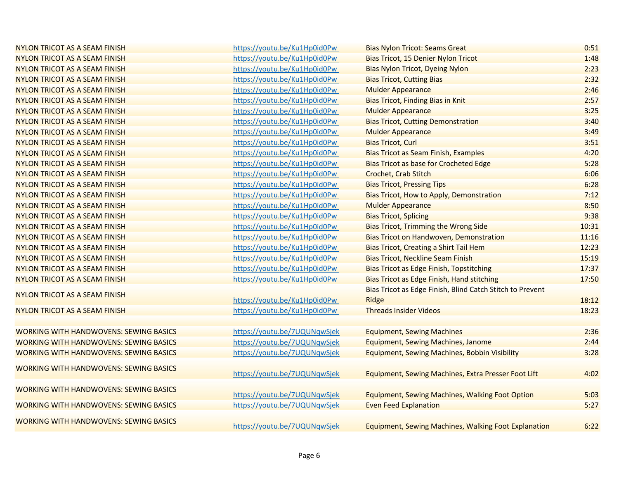| NYLON TRICOT AS A SEAM FINISH                 | https://youtu.be/Ku1Hp0id0Pw | <b>Bias Nylon Tricot: Seams Great</b>                       | 0:51  |
|-----------------------------------------------|------------------------------|-------------------------------------------------------------|-------|
| NYLON TRICOT AS A SEAM FINISH                 | https://youtu.be/Ku1Hp0id0Pw | Bias Tricot, 15 Denier Nylon Tricot                         | 1:48  |
| NYLON TRICOT AS A SEAM FINISH                 | https://youtu.be/Ku1Hp0id0Pw | <b>Bias Nylon Tricot, Dyeing Nylon</b>                      | 2:23  |
| <b>NYLON TRICOT AS A SEAM FINISH</b>          | https://youtu.be/Ku1Hp0id0Pw | <b>Bias Tricot, Cutting Bias</b>                            | 2:32  |
| NYLON TRICOT AS A SEAM FINISH                 | https://youtu.be/Ku1Hp0id0Pw | <b>Mulder Appearance</b>                                    | 2:46  |
| NYLON TRICOT AS A SEAM FINISH                 | https://youtu.be/Ku1Hp0id0Pw | <b>Bias Tricot, Finding Bias in Knit</b>                    | 2:57  |
| NYLON TRICOT AS A SEAM FINISH                 | https://youtu.be/Ku1Hp0id0Pw | <b>Mulder Appearance</b>                                    | 3:25  |
| NYLON TRICOT AS A SEAM FINISH                 | https://youtu.be/Ku1Hp0id0Pw | <b>Bias Tricot, Cutting Demonstration</b>                   | 3:40  |
| <b>NYLON TRICOT AS A SEAM FINISH</b>          | https://youtu.be/Ku1Hp0id0Pw | <b>Mulder Appearance</b>                                    | 3:49  |
| NYLON TRICOT AS A SEAM FINISH                 | https://youtu.be/Ku1Hp0id0Pw | <b>Bias Tricot, Curl</b>                                    | 3:51  |
| <b>NYLON TRICOT AS A SEAM FINISH</b>          | https://youtu.be/Ku1Hp0id0Pw | <b>Bias Tricot as Seam Finish, Examples</b>                 | 4:20  |
| NYLON TRICOT AS A SEAM FINISH                 | https://youtu.be/Ku1Hp0id0Pw | <b>Bias Tricot as base for Crocheted Edge</b>               | 5:28  |
| NYLON TRICOT AS A SEAM FINISH                 | https://youtu.be/Ku1Hp0id0Pw | <b>Crochet, Crab Stitch</b>                                 | 6:06  |
| <b>NYLON TRICOT AS A SEAM FINISH</b>          | https://youtu.be/Ku1Hp0id0Pw | <b>Bias Tricot, Pressing Tips</b>                           | 6:28  |
| NYLON TRICOT AS A SEAM FINISH                 | https://youtu.be/Ku1Hp0id0Pw | Bias Tricot, How to Apply, Demonstration                    | 7:12  |
| <b>NYLON TRICOT AS A SEAM FINISH</b>          | https://youtu.be/Ku1Hp0id0Pw | <b>Mulder Appearance</b>                                    | 8:50  |
| NYLON TRICOT AS A SEAM FINISH                 | https://youtu.be/Ku1Hp0id0Pw | <b>Bias Tricot, Splicing</b>                                | 9:38  |
| <b>NYLON TRICOT AS A SEAM FINISH</b>          | https://youtu.be/Ku1Hp0id0Pw | <b>Bias Tricot, Trimming the Wrong Side</b>                 | 10:31 |
| NYLON TRICOT AS A SEAM FINISH                 | https://youtu.be/Ku1Hp0id0Pw | <b>Bias Tricot on Handwoven, Demonstration</b>              | 11:16 |
| NYLON TRICOT AS A SEAM FINISH                 | https://youtu.be/Ku1Hp0id0Pw | Bias Tricot, Creating a Shirt Tail Hem                      | 12:23 |
| <b>NYLON TRICOT AS A SEAM FINISH</b>          | https://youtu.be/Ku1Hp0id0Pw | <b>Bias Tricot, Neckline Seam Finish</b>                    | 15:19 |
| NYLON TRICOT AS A SEAM FINISH                 | https://youtu.be/Ku1Hp0id0Pw | <b>Bias Tricot as Edge Finish, Topstitching</b>             | 17:37 |
| <b>NYLON TRICOT AS A SEAM FINISH</b>          | https://youtu.be/Ku1Hp0id0Pw | Bias Tricot as Edge Finish, Hand stitching                  | 17:50 |
| NYLON TRICOT AS A SEAM FINISH                 |                              | Bias Tricot as Edge Finish, Blind Catch Stitch to Prevent   |       |
|                                               | https://youtu.be/Ku1Hp0id0Pw | Ridge                                                       | 18:12 |
| NYLON TRICOT AS A SEAM FINISH                 | https://youtu.be/Ku1Hp0id0Pw | <b>Threads Insider Videos</b>                               | 18:23 |
|                                               |                              |                                                             |       |
| <b>WORKING WITH HANDWOVENS: SEWING BASICS</b> | https://youtu.be/7UQUNqwSjek | <b>Equipment, Sewing Machines</b>                           | 2:36  |
| <b>WORKING WITH HANDWOVENS: SEWING BASICS</b> | https://youtu.be/7UQUNqwSjek | <b>Equipment, Sewing Machines, Janome</b>                   | 2:44  |
| <b>WORKING WITH HANDWOVENS: SEWING BASICS</b> | https://youtu.be/7UQUNqwSjek | Equipment, Sewing Machines, Bobbin Visibility               | 3:28  |
| <b>WORKING WITH HANDWOVENS: SEWING BASICS</b> |                              |                                                             |       |
|                                               | https://youtu.be/7UQUNqwSjek | Equipment, Sewing Machines, Extra Presser Foot Lift         | 4:02  |
| <b>WORKING WITH HANDWOVENS: SEWING BASICS</b> |                              |                                                             |       |
|                                               | https://youtu.be/7UQUNqwSjek | <b>Equipment, Sewing Machines, Walking Foot Option</b>      | 5:03  |
| <b>WORKING WITH HANDWOVENS: SEWING BASICS</b> | https://youtu.be/7UQUNqwSjek | <b>Even Feed Explanation</b>                                | 5:27  |
| <b>WORKING WITH HANDWOVENS: SEWING BASICS</b> |                              |                                                             |       |
|                                               | https://youtu.be/7UQUNqwSjek | <b>Equipment, Sewing Machines, Walking Foot Explanation</b> | 6:22  |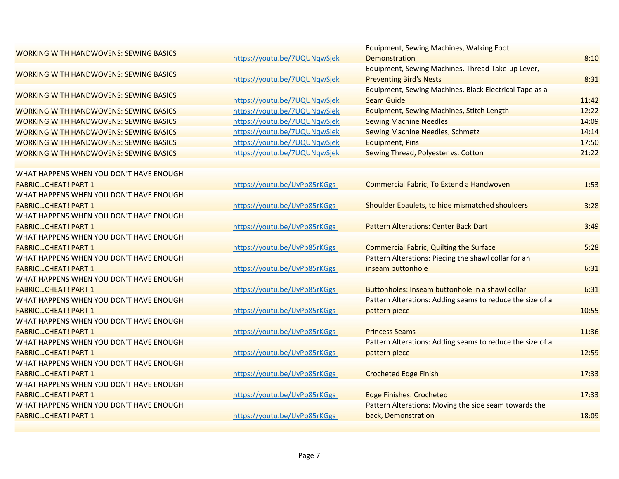| <b>WORKING WITH HANDWOVENS: SEWING BASICS</b> |                              | Equipment, Sewing Machines, Walking Foot                  |       |
|-----------------------------------------------|------------------------------|-----------------------------------------------------------|-------|
|                                               | https://youtu.be/7UQUNqwSjek | Demonstration                                             | 8:10  |
| <b>WORKING WITH HANDWOVENS: SEWING BASICS</b> |                              | Equipment, Sewing Machines, Thread Take-up Lever,         |       |
|                                               | https://youtu.be/7UQUNqwSjek | <b>Preventing Bird's Nests</b>                            | 8:31  |
| <b>WORKING WITH HANDWOVENS: SEWING BASICS</b> |                              | Equipment, Sewing Machines, Black Electrical Tape as a    |       |
|                                               | https://youtu.be/7UQUNqwSjek | <b>Seam Guide</b>                                         | 11:42 |
| <b>WORKING WITH HANDWOVENS: SEWING BASICS</b> | https://youtu.be/7UQUNqwSjek | Equipment, Sewing Machines, Stitch Length                 | 12:22 |
| <b>WORKING WITH HANDWOVENS: SEWING BASICS</b> | https://youtu.be/7UQUNqwSjek | <b>Sewing Machine Needles</b>                             | 14:09 |
| <b>WORKING WITH HANDWOVENS: SEWING BASICS</b> | https://youtu.be/7UQUNqwSjek | <b>Sewing Machine Needles, Schmetz</b>                    | 14:14 |
| <b>WORKING WITH HANDWOVENS: SEWING BASICS</b> | https://youtu.be/7UQUNqwSjek | <b>Equipment, Pins</b>                                    | 17:50 |
| <b>WORKING WITH HANDWOVENS: SEWING BASICS</b> | https://youtu.be/7UQUNqwSjek | Sewing Thread, Polyester vs. Cotton                       | 21:22 |
|                                               |                              |                                                           |       |
| WHAT HAPPENS WHEN YOU DON'T HAVE ENOUGH       |                              |                                                           |       |
| <b>FABRICCHEAT! PART 1</b>                    | https://youtu.be/UyPb85rKGgs | Commercial Fabric, To Extend a Handwoven                  | 1:53  |
| WHAT HAPPENS WHEN YOU DON'T HAVE ENOUGH       |                              |                                                           |       |
| <b>FABRICCHEAT! PART 1</b>                    | https://youtu.be/UyPb85rKGgs | Shoulder Epaulets, to hide mismatched shoulders           | 3:28  |
| WHAT HAPPENS WHEN YOU DON'T HAVE ENOUGH       |                              |                                                           |       |
| <b>FABRICCHEAT! PART 1</b>                    | https://youtu.be/UyPb85rKGgs | <b>Pattern Alterations: Center Back Dart</b>              | 3:49  |
| WHAT HAPPENS WHEN YOU DON'T HAVE ENOUGH       |                              |                                                           |       |
| <b>FABRICCHEAT! PART 1</b>                    | https://youtu.be/UyPb85rKGgs | <b>Commercial Fabric, Quilting the Surface</b>            | 5:28  |
| WHAT HAPPENS WHEN YOU DON'T HAVE ENOUGH       |                              | Pattern Alterations: Piecing the shawl collar for an      |       |
| <b>FABRICCHEAT! PART 1</b>                    | https://youtu.be/UyPb85rKGgs | inseam buttonhole                                         | 6:31  |
| WHAT HAPPENS WHEN YOU DON'T HAVE ENOUGH       |                              |                                                           |       |
| <b>FABRICCHEAT! PART 1</b>                    | https://youtu.be/UyPb85rKGgs | Buttonholes: Inseam buttonhole in a shawl collar          | 6:31  |
| WHAT HAPPENS WHEN YOU DON'T HAVE ENOUGH       |                              | Pattern Alterations: Adding seams to reduce the size of a |       |
| <b>FABRICCHEAT! PART 1</b>                    | https://youtu.be/UyPb85rKGgs | pattern piece                                             | 10:55 |
| WHAT HAPPENS WHEN YOU DON'T HAVE ENOUGH       |                              |                                                           |       |
| <b>FABRICCHEAT! PART 1</b>                    | https://youtu.be/UyPb85rKGgs | <b>Princess Seams</b>                                     | 11:36 |
| WHAT HAPPENS WHEN YOU DON'T HAVE ENOUGH       |                              | Pattern Alterations: Adding seams to reduce the size of a |       |
| <b>FABRICCHEAT! PART 1</b>                    | https://youtu.be/UyPb85rKGgs | pattern piece                                             | 12:59 |
| WHAT HAPPENS WHEN YOU DON'T HAVE ENOUGH       |                              |                                                           |       |
| <b>FABRICCHEAT! PART 1</b>                    | https://youtu.be/UyPb85rKGgs | <b>Crocheted Edge Finish</b>                              | 17:33 |
| WHAT HAPPENS WHEN YOU DON'T HAVE ENOUGH       |                              |                                                           |       |
| <b>FABRICCHEAT! PART 1</b>                    | https://youtu.be/UyPb85rKGgs | <b>Edge Finishes: Crocheted</b>                           | 17:33 |
| WHAT HAPPENS WHEN YOU DON'T HAVE ENOUGH       |                              | Pattern Alterations: Moving the side seam towards the     |       |
| <b>FABRICCHEAT! PART 1</b>                    | https://youtu.be/UyPb85rKGgs | back, Demonstration                                       | 18:09 |
|                                               |                              |                                                           |       |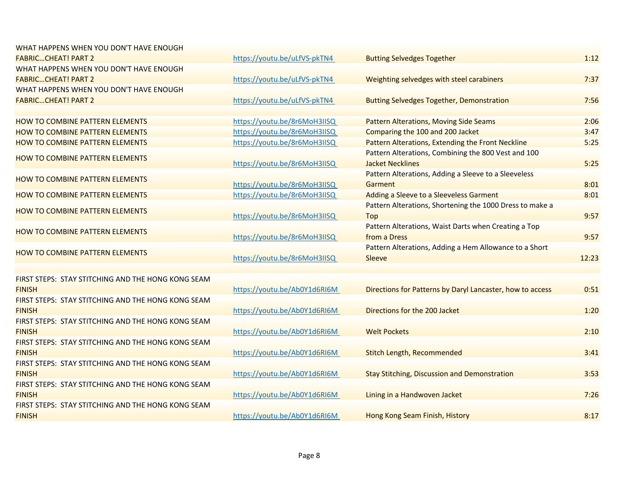| WHAT HAPPENS WHEN YOU DON'T HAVE ENOUGH            |                              |                                                           |       |
|----------------------------------------------------|------------------------------|-----------------------------------------------------------|-------|
| <b>FABRICCHEAT! PART 2</b>                         | https://youtu.be/uLfVS-pkTN4 | <b>Butting Selvedges Together</b>                         | 1:12  |
| WHAT HAPPENS WHEN YOU DON'T HAVE ENOUGH            |                              |                                                           |       |
| <b>FABRICCHEAT! PART 2</b>                         | https://youtu.be/uLfVS-pkTN4 | Weighting selvedges with steel carabiners                 | 7:37  |
| WHAT HAPPENS WHEN YOU DON'T HAVE ENOUGH            |                              |                                                           |       |
| <b>FABRICCHEAT! PART 2</b>                         | https://youtu.be/uLfVS-pkTN4 | <b>Butting Selvedges Together, Demonstration</b>          | 7:56  |
|                                                    |                              |                                                           |       |
| <b>HOW TO COMBINE PATTERN ELEMENTS</b>             | https://youtu.be/8r6MoH3IISQ | <b>Pattern Alterations, Moving Side Seams</b>             | 2:06  |
| <b>HOW TO COMBINE PATTERN ELEMENTS</b>             | https://youtu.be/8r6MoH3IISQ | Comparing the 100 and 200 Jacket                          | 3:47  |
| <b>HOW TO COMBINE PATTERN ELEMENTS</b>             | https://youtu.be/8r6MoH3IISQ | Pattern Alterations, Extending the Front Neckline         | 5:25  |
|                                                    |                              | Pattern Alterations, Combining the 800 Vest and 100       |       |
| HOW TO COMBINE PATTERN ELEMENTS                    | https://youtu.be/8r6MoH3IISQ | <b>Jacket Necklines</b>                                   | 5:25  |
| <b>HOW TO COMBINE PATTERN ELEMENTS</b>             |                              | Pattern Alterations, Adding a Sleeve to a Sleeveless      |       |
|                                                    | https://youtu.be/8r6MoH3IISQ | Garment                                                   | 8:01  |
| <b>HOW TO COMBINE PATTERN ELEMENTS</b>             | https://youtu.be/8r6MoH3IISQ | Adding a Sleeve to a Sleeveless Garment                   | 8:01  |
|                                                    |                              | Pattern Alterations, Shortening the 1000 Dress to make a  |       |
| <b>HOW TO COMBINE PATTERN ELEMENTS</b>             | https://youtu.be/8r6MoH3IISQ | Top                                                       | 9:57  |
| <b>HOW TO COMBINE PATTERN ELEMENTS</b>             |                              | Pattern Alterations, Waist Darts when Creating a Top      |       |
|                                                    | https://youtu.be/8r6MoH3IISQ | from a Dress                                              | 9:57  |
| <b>HOW TO COMBINE PATTERN ELEMENTS</b>             |                              | Pattern Alterations, Adding a Hem Allowance to a Short    |       |
|                                                    | https://youtu.be/8r6MoH3IISQ | Sleeve                                                    | 12:23 |
|                                                    |                              |                                                           |       |
| FIRST STEPS: STAY STITCHING AND THE HONG KONG SEAM |                              |                                                           |       |
| <b>FINISH</b>                                      | https://youtu.be/Ab0Y1d6RI6M | Directions for Patterns by Daryl Lancaster, how to access | 0:51  |
| FIRST STEPS: STAY STITCHING AND THE HONG KONG SEAM |                              |                                                           |       |
| <b>FINISH</b>                                      | https://youtu.be/Ab0Y1d6RI6M | Directions for the 200 Jacket                             | 1:20  |
| FIRST STEPS: STAY STITCHING AND THE HONG KONG SEAM |                              |                                                           |       |
| <b>FINISH</b>                                      | https://youtu.be/Ab0Y1d6RI6M | <b>Welt Pockets</b>                                       | 2:10  |
| FIRST STEPS: STAY STITCHING AND THE HONG KONG SEAM |                              |                                                           |       |
| <b>FINISH</b>                                      | https://youtu.be/Ab0Y1d6RI6M | Stitch Length, Recommended                                | 3:41  |
| FIRST STEPS: STAY STITCHING AND THE HONG KONG SEAM |                              |                                                           |       |
| <b>FINISH</b>                                      | https://youtu.be/Ab0Y1d6RI6M | <b>Stay Stitching, Discussion and Demonstration</b>       | 3:53  |
| FIRST STEPS: STAY STITCHING AND THE HONG KONG SEAM |                              |                                                           |       |
| <b>FINISH</b>                                      | https://youtu.be/Ab0Y1d6RI6M | Lining in a Handwoven Jacket                              | 7:26  |
| FIRST STEPS: STAY STITCHING AND THE HONG KONG SEAM |                              |                                                           |       |
| <b>FINISH</b>                                      | https://youtu.be/Ab0Y1d6RI6M | Hong Kong Seam Finish, History                            | 8:17  |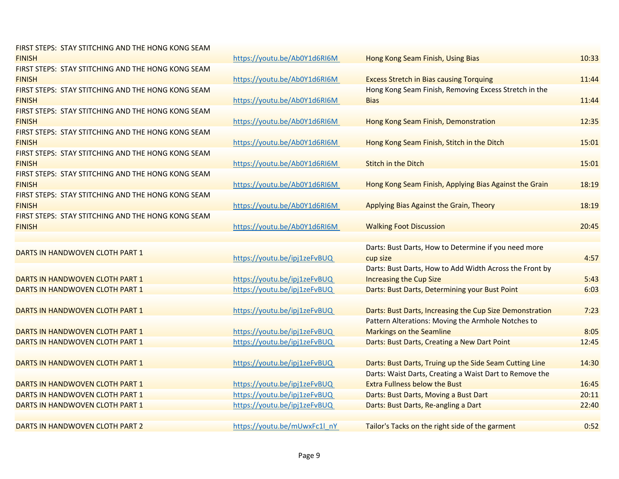| <b>FIRST STEPS: STAY STITCHING AND THE HONG KONG SEAM</b> |                              |                                                          |       |
|-----------------------------------------------------------|------------------------------|----------------------------------------------------------|-------|
| <b>FINISH</b>                                             | https://youtu.be/Ab0Y1d6RI6M | Hong Kong Seam Finish, Using Bias                        | 10:33 |
| FIRST STEPS: STAY STITCHING AND THE HONG KONG SEAM        |                              |                                                          |       |
| <b>FINISH</b>                                             | https://youtu.be/Ab0Y1d6RI6M | <b>Excess Stretch in Bias causing Torquing</b>           | 11:44 |
| FIRST STEPS: STAY STITCHING AND THE HONG KONG SEAM        |                              | Hong Kong Seam Finish, Removing Excess Stretch in the    |       |
| <b>FINISH</b>                                             | https://youtu.be/Ab0Y1d6RI6M | <b>Bias</b>                                              | 11:44 |
| FIRST STEPS: STAY STITCHING AND THE HONG KONG SEAM        |                              |                                                          |       |
| <b>FINISH</b>                                             | https://youtu.be/Ab0Y1d6RI6M | Hong Kong Seam Finish, Demonstration                     | 12:35 |
| <b>FIRST STEPS: STAY STITCHING AND THE HONG KONG SEAM</b> |                              |                                                          |       |
| <b>FINISH</b>                                             | https://youtu.be/Ab0Y1d6RI6M | Hong Kong Seam Finish, Stitch in the Ditch               | 15:01 |
| <b>FIRST STEPS: STAY STITCHING AND THE HONG KONG SEAM</b> |                              |                                                          |       |
| <b>FINISH</b>                                             | https://youtu.be/Ab0Y1d6RI6M | Stitch in the Ditch                                      | 15:01 |
| FIRST STEPS: STAY STITCHING AND THE HONG KONG SEAM        |                              |                                                          |       |
| <b>FINISH</b>                                             | https://youtu.be/Ab0Y1d6RI6M | Hong Kong Seam Finish, Applying Bias Against the Grain   | 18:19 |
| FIRST STEPS: STAY STITCHING AND THE HONG KONG SEAM        |                              |                                                          |       |
| <b>FINISH</b>                                             | https://youtu.be/Ab0Y1d6RI6M | Applying Bias Against the Grain, Theory                  | 18:19 |
| FIRST STEPS: STAY STITCHING AND THE HONG KONG SEAM        |                              |                                                          |       |
| <b>FINISH</b>                                             | https://youtu.be/Ab0Y1d6RI6M | <b>Walking Foot Discussion</b>                           | 20:45 |
|                                                           |                              |                                                          |       |
| DARTS IN HANDWOVEN CLOTH PART 1                           |                              | Darts: Bust Darts, How to Determine if you need more     |       |
|                                                           | https://youtu.be/ipj1zeFvBUQ | cup size                                                 | 4:57  |
|                                                           |                              | Darts: Bust Darts, How to Add Width Across the Front by  |       |
| DARTS IN HANDWOVEN CLOTH PART 1                           | https://youtu.be/ipj1zeFvBUQ | <b>Increasing the Cup Size</b>                           | 5:43  |
| DARTS IN HANDWOVEN CLOTH PART 1                           | https://youtu.be/ipj1zeFvBUQ | Darts: Bust Darts, Determining your Bust Point           | 6:03  |
|                                                           |                              |                                                          |       |
| DARTS IN HANDWOVEN CLOTH PART 1                           | https://youtu.be/ipj1zeFvBUQ | Darts: Bust Darts, Increasing the Cup Size Demonstration | 7:23  |
|                                                           |                              | Pattern Alterations: Moving the Armhole Notches to       |       |
| DARTS IN HANDWOVEN CLOTH PART 1                           | https://youtu.be/ipj1zeFvBUQ | <b>Markings on the Seamline</b>                          | 8:05  |
| DARTS IN HANDWOVEN CLOTH PART 1                           | https://youtu.be/ipj1zeFvBUQ | Darts: Bust Darts, Creating a New Dart Point             | 12:45 |
|                                                           |                              |                                                          |       |
| DARTS IN HANDWOVEN CLOTH PART 1                           | https://youtu.be/ipj1zeFvBUQ | Darts: Bust Darts, Truing up the Side Seam Cutting Line  | 14:30 |
|                                                           |                              | Darts: Waist Darts, Creating a Waist Dart to Remove the  |       |
| DARTS IN HANDWOVEN CLOTH PART 1                           | https://youtu.be/ipj1zeFvBUQ | <b>Extra Fullness below the Bust</b>                     | 16:45 |
| DARTS IN HANDWOVEN CLOTH PART 1                           | https://youtu.be/ipj1zeFvBUQ | Darts: Bust Darts, Moving a Bust Dart                    | 20:11 |
| DARTS IN HANDWOVEN CLOTH PART 1                           | https://youtu.be/ipj1zeFvBUQ | Darts: Bust Darts, Re-angling a Dart                     | 22:40 |
|                                                           |                              |                                                          |       |
| DARTS IN HANDWOVEN CLOTH PART 2                           | https://youtu.be/mUwxFc1l nY | Tailor's Tacks on the right side of the garment          | 0:52  |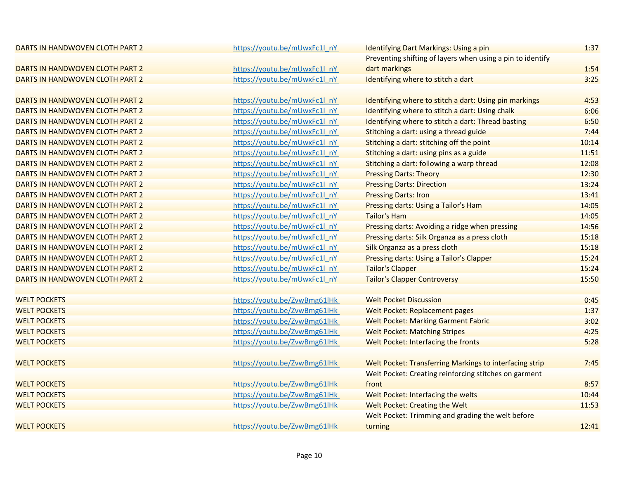| DARTS IN HANDWOVEN CLOTH PART 2 | https://youtu.be/mUwxFc1l nY | <b>Identifying Dart Markings: Using a pin</b>              | 1:37  |
|---------------------------------|------------------------------|------------------------------------------------------------|-------|
|                                 |                              | Preventing shifting of layers when using a pin to identify |       |
| DARTS IN HANDWOVEN CLOTH PART 2 | https://youtu.be/mUwxFc1l nY | dart markings                                              | 1:54  |
| DARTS IN HANDWOVEN CLOTH PART 2 | https://youtu.be/mUwxFc1l nY | Identifying where to stitch a dart                         | 3:25  |
|                                 |                              |                                                            |       |
| DARTS IN HANDWOVEN CLOTH PART 2 | https://youtu.be/mUwxFc1l_nY | Identifying where to stitch a dart: Using pin markings     | 4:53  |
| DARTS IN HANDWOVEN CLOTH PART 2 | https://youtu.be/mUwxFc1l nY | Identifying where to stitch a dart: Using chalk            | 6:06  |
| DARTS IN HANDWOVEN CLOTH PART 2 | https://youtu.be/mUwxFc1l nY | Identifying where to stitch a dart: Thread basting         | 6:50  |
| DARTS IN HANDWOVEN CLOTH PART 2 | https://youtu.be/mUwxFc1l nY | Stitching a dart: using a thread guide                     | 7:44  |
| DARTS IN HANDWOVEN CLOTH PART 2 | https://youtu.be/mUwxFc1l nY | Stitching a dart: stitching off the point                  | 10:14 |
| DARTS IN HANDWOVEN CLOTH PART 2 | https://youtu.be/mUwxFc1l nY | Stitching a dart: using pins as a guide                    | 11:51 |
| DARTS IN HANDWOVEN CLOTH PART 2 | https://youtu.be/mUwxFc1l_nY | Stitching a dart: following a warp thread                  | 12:08 |
| DARTS IN HANDWOVEN CLOTH PART 2 | https://youtu.be/mUwxFc1l_nY | <b>Pressing Darts: Theory</b>                              | 12:30 |
| DARTS IN HANDWOVEN CLOTH PART 2 | https://youtu.be/mUwxFc1l_nY | <b>Pressing Darts: Direction</b>                           | 13:24 |
| DARTS IN HANDWOVEN CLOTH PART 2 | https://youtu.be/mUwxFc1l nY | <b>Pressing Darts: Iron</b>                                | 13:41 |
| DARTS IN HANDWOVEN CLOTH PART 2 | https://youtu.be/mUwxFc1l nY | Pressing darts: Using a Tailor's Ham                       | 14:05 |
| DARTS IN HANDWOVEN CLOTH PART 2 | https://youtu.be/mUwxFc1l nY | <b>Tailor's Ham</b>                                        | 14:05 |
| DARTS IN HANDWOVEN CLOTH PART 2 | https://youtu.be/mUwxFc1l nY | Pressing darts: Avoiding a ridge when pressing             | 14:56 |
| DARTS IN HANDWOVEN CLOTH PART 2 | https://youtu.be/mUwxFc1l nY | Pressing darts: Silk Organza as a press cloth              | 15:18 |
| DARTS IN HANDWOVEN CLOTH PART 2 | https://youtu.be/mUwxFc1l nY | Silk Organza as a press cloth                              | 15:18 |
| DARTS IN HANDWOVEN CLOTH PART 2 | https://youtu.be/mUwxFc1l nY | Pressing darts: Using a Tailor's Clapper                   | 15:24 |
| DARTS IN HANDWOVEN CLOTH PART 2 | https://youtu.be/mUwxFc1l nY | <b>Tailor's Clapper</b>                                    | 15:24 |
| DARTS IN HANDWOVEN CLOTH PART 2 | https://youtu.be/mUwxFc1l_nY | <b>Tailor's Clapper Controversy</b>                        | 15:50 |
|                                 |                              |                                                            |       |
| <b>WELT POCKETS</b>             | https://youtu.be/ZvwBmg61lHk | <b>Welt Pocket Discussion</b>                              | 0:45  |
| <b>WELT POCKETS</b>             | https://youtu.be/ZvwBmg61lHk | Welt Pocket: Replacement pages                             | 1:37  |
| <b>WELT POCKETS</b>             | https://youtu.be/ZvwBmg61lHk | <b>Welt Pocket: Marking Garment Fabric</b>                 | 3:02  |
| <b>WELT POCKETS</b>             | https://youtu.be/ZvwBmg61lHk | <b>Welt Pocket: Matching Stripes</b>                       | 4:25  |
| <b>WELT POCKETS</b>             | https://youtu.be/ZvwBmg61lHk | Welt Pocket: Interfacing the fronts                        | 5:28  |
|                                 |                              |                                                            |       |
| <b>WELT POCKETS</b>             | https://youtu.be/ZvwBmg61lHk | Welt Pocket: Transferring Markings to interfacing strip    | 7:45  |
|                                 |                              | Welt Pocket: Creating reinforcing stitches on garment      |       |
| <b>WELT POCKETS</b>             | https://youtu.be/ZvwBmg61lHk | front                                                      | 8:57  |
| <b>WELT POCKETS</b>             | https://youtu.be/ZvwBmg61lHk | Welt Pocket: Interfacing the welts                         | 10:44 |
| <b>WELT POCKETS</b>             | https://youtu.be/ZvwBmg61lHk | Welt Pocket: Creating the Welt                             | 11:53 |
|                                 |                              | Welt Pocket: Trimming and grading the welt before          |       |
| <b>WELT POCKETS</b>             | https://youtu.be/ZvwBmg61lHk | turning                                                    | 12:41 |
|                                 |                              |                                                            |       |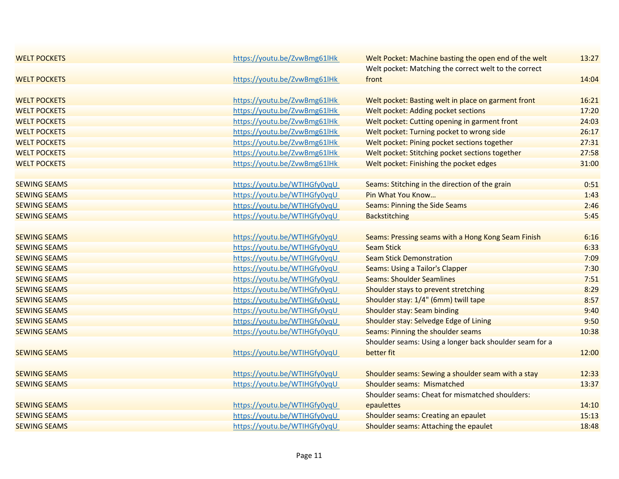| <b>WELT POCKETS</b> | https://youtu.be/ZvwBmg61lHk | Welt Pocket: Machine basting the open end of the welt   | 13:27 |
|---------------------|------------------------------|---------------------------------------------------------|-------|
|                     |                              | Welt pocket: Matching the correct welt to the correct   |       |
| <b>WELT POCKETS</b> | https://youtu.be/ZvwBmg61lHk | front                                                   | 14:04 |
|                     |                              |                                                         |       |
| <b>WELT POCKETS</b> | https://youtu.be/ZvwBmg61lHk | Welt pocket: Basting welt in place on garment front     | 16:21 |
| <b>WELT POCKETS</b> | https://youtu.be/ZvwBmg61lHk | <b>Welt pocket: Adding pocket sections</b>              | 17:20 |
| <b>WELT POCKETS</b> | https://youtu.be/ZvwBmg61lHk | Welt pocket: Cutting opening in garment front           | 24:03 |
| <b>WELT POCKETS</b> | https://youtu.be/ZvwBmg61lHk | Welt pocket: Turning pocket to wrong side               | 26:17 |
| <b>WELT POCKETS</b> | https://youtu.be/ZvwBmg61lHk | Welt pocket: Pining pocket sections together            | 27:31 |
| <b>WELT POCKETS</b> | https://youtu.be/ZvwBmg61lHk | Welt pocket: Stitching pocket sections together         | 27:58 |
| <b>WELT POCKETS</b> | https://youtu.be/ZvwBmg61lHk | Welt pocket: Finishing the pocket edges                 | 31:00 |
|                     |                              |                                                         |       |
| <b>SEWING SEAMS</b> | https://youtu.be/WTIHGfy0yqU | Seams: Stitching in the direction of the grain          | 0:51  |
| <b>SEWING SEAMS</b> | https://youtu.be/WTIHGfy0yqU | Pin What You Know                                       | 1:43  |
| <b>SEWING SEAMS</b> | https://youtu.be/WTIHGfy0yqU | <b>Seams: Pinning the Side Seams</b>                    | 2:46  |
| <b>SEWING SEAMS</b> | https://youtu.be/WTIHGfy0yqU | <b>Backstitching</b>                                    | 5:45  |
|                     |                              |                                                         |       |
| <b>SEWING SEAMS</b> | https://youtu.be/WTIHGfy0yqU | Seams: Pressing seams with a Hong Kong Seam Finish      | 6:16  |
| <b>SEWING SEAMS</b> | https://youtu.be/WTIHGfy0yqU | <b>Seam Stick</b>                                       | 6:33  |
| <b>SEWING SEAMS</b> | https://youtu.be/WTIHGfy0yqU | <b>Seam Stick Demonstration</b>                         | 7:09  |
| <b>SEWING SEAMS</b> | https://youtu.be/WTIHGfy0yqU | <b>Seams: Using a Tailor's Clapper</b>                  | 7:30  |
| <b>SEWING SEAMS</b> | https://youtu.be/WTIHGfy0yqU | <b>Seams: Shoulder Seamlines</b>                        | 7:51  |
| <b>SEWING SEAMS</b> | https://youtu.be/WTIHGfy0yqU | Shoulder stays to prevent stretching                    | 8:29  |
| <b>SEWING SEAMS</b> | https://youtu.be/WTIHGfy0yqU | Shoulder stay: 1/4" (6mm) twill tape                    | 8:57  |
| <b>SEWING SEAMS</b> | https://youtu.be/WTIHGfy0yqU | <b>Shoulder stay: Seam binding</b>                      | 9:40  |
| <b>SEWING SEAMS</b> | https://youtu.be/WTIHGfy0yqU | Shoulder stay: Selvedge Edge of Lining                  | 9:50  |
| <b>SEWING SEAMS</b> | https://youtu.be/WTIHGfy0yqU | Seams: Pinning the shoulder seams                       | 10:38 |
|                     |                              | Shoulder seams: Using a longer back shoulder seam for a |       |
| <b>SEWING SEAMS</b> | https://youtu.be/WTIHGfy0yqU | better fit                                              | 12:00 |
|                     |                              |                                                         |       |
| <b>SEWING SEAMS</b> | https://youtu.be/WTIHGfy0yqU | Shoulder seams: Sewing a shoulder seam with a stay      | 12:33 |
| <b>SEWING SEAMS</b> | https://youtu.be/WTIHGfy0yqU | Shoulder seams: Mismatched                              | 13:37 |
|                     |                              | Shoulder seams: Cheat for mismatched shoulders:         |       |
| <b>SEWING SEAMS</b> | https://youtu.be/WTIHGfy0yqU | epaulettes                                              | 14:10 |
| <b>SEWING SEAMS</b> | https://youtu.be/WTIHGfy0yqU | Shoulder seams: Creating an epaulet                     | 15:13 |
| <b>SEWING SEAMS</b> | https://youtu.be/WTIHGfy0yqU | Shoulder seams: Attaching the epaulet                   | 18:48 |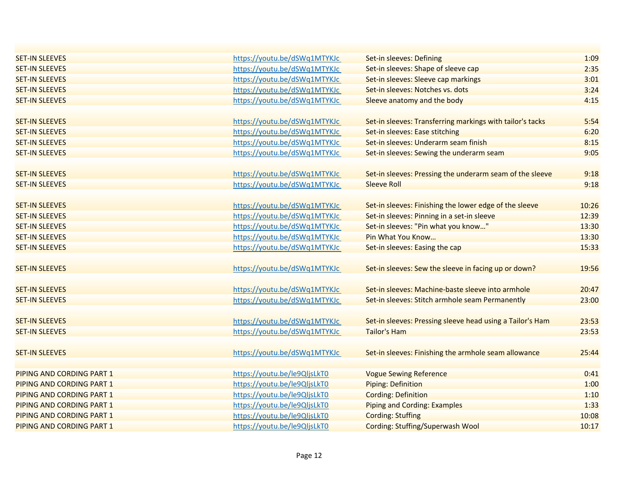| <b>SET-IN SLEEVES</b>     | https://youtu.be/dSWq1MTYKJc | Set-in sleeves: Defining                                  | 1:09  |
|---------------------------|------------------------------|-----------------------------------------------------------|-------|
| <b>SET-IN SLEEVES</b>     | https://youtu.be/dSWq1MTYKJc | Set-in sleeves: Shape of sleeve cap                       | 2:35  |
| <b>SET-IN SLEEVES</b>     | https://youtu.be/dSWq1MTYKJc | Set-in sleeves: Sleeve cap markings                       | 3:01  |
| <b>SET-IN SLEEVES</b>     | https://youtu.be/dSWq1MTYKJc | Set-in sleeves: Notches vs. dots                          | 3:24  |
| <b>SET-IN SLEEVES</b>     | https://youtu.be/dSWq1MTYKJc | Sleeve anatomy and the body                               | 4:15  |
|                           |                              |                                                           |       |
| <b>SET-IN SLEEVES</b>     | https://youtu.be/dSWq1MTYKJc | Set-in sleeves: Transferring markings with tailor's tacks | 5:54  |
| <b>SET-IN SLEEVES</b>     | https://youtu.be/dSWq1MTYKJc | Set-in sleeves: Ease stitching                            | 6:20  |
| <b>SET-IN SLEEVES</b>     | https://youtu.be/dSWq1MTYKJc | Set-in sleeves: Underarm seam finish                      | 8:15  |
| <b>SET-IN SLEEVES</b>     | https://youtu.be/dSWq1MTYKJc | Set-in sleeves: Sewing the underarm seam                  | 9:05  |
|                           |                              |                                                           |       |
| <b>SET-IN SLEEVES</b>     | https://youtu.be/dSWq1MTYKJc | Set-in sleeves: Pressing the underarm seam of the sleeve  | 9:18  |
| <b>SET-IN SLEEVES</b>     | https://youtu.be/dSWq1MTYKJc | <b>Sleeve Roll</b>                                        | 9:18  |
|                           |                              |                                                           |       |
| <b>SET-IN SLEEVES</b>     | https://youtu.be/dSWq1MTYKJc | Set-in sleeves: Finishing the lower edge of the sleeve    | 10:26 |
| <b>SET-IN SLEEVES</b>     | https://youtu.be/dSWq1MTYKJc | Set-in sleeves: Pinning in a set-in sleeve                | 12:39 |
| <b>SET-IN SLEEVES</b>     | https://youtu.be/dSWq1MTYKJc | Set-in sleeves: "Pin what you know"                       | 13:30 |
| <b>SET-IN SLEEVES</b>     | https://youtu.be/dSWq1MTYKJc | Pin What You Know                                         | 13:30 |
| <b>SET-IN SLEEVES</b>     | https://youtu.be/dSWq1MTYKJc | Set-in sleeves: Easing the cap                            | 15:33 |
|                           |                              |                                                           |       |
| <b>SET-IN SLEEVES</b>     | https://youtu.be/dSWq1MTYKJc | Set-in sleeves: Sew the sleeve in facing up or down?      | 19:56 |
|                           |                              |                                                           |       |
| <b>SET-IN SLEEVES</b>     | https://youtu.be/dSWq1MTYKJc | Set-in sleeves: Machine-baste sleeve into armhole         | 20:47 |
| <b>SET-IN SLEEVES</b>     | https://youtu.be/dSWq1MTYKJc | Set-in sleeves: Stitch armhole seam Permanently           | 23:00 |
|                           |                              |                                                           |       |
| <b>SET-IN SLEEVES</b>     | https://youtu.be/dSWq1MTYKJc | Set-in sleeves: Pressing sleeve head using a Tailor's Ham | 23:53 |
| <b>SET-IN SLEEVES</b>     | https://youtu.be/dSWq1MTYKJc | <b>Tailor's Ham</b>                                       | 23:53 |
|                           |                              |                                                           |       |
| <b>SET-IN SLEEVES</b>     | https://youtu.be/dSWq1MTYKJc | Set-in sleeves: Finishing the armhole seam allowance      | 25:44 |
|                           |                              |                                                           |       |
| PIPING AND CORDING PART 1 | https://youtu.be/le9QljsLkT0 | <b>Vogue Sewing Reference</b>                             | 0:41  |
| PIPING AND CORDING PART 1 | https://youtu.be/le9QljsLkT0 | <b>Piping: Definition</b>                                 | 1:00  |
| PIPING AND CORDING PART 1 | https://youtu.be/le9QljsLkT0 | <b>Cording: Definition</b>                                | 1:10  |
| PIPING AND CORDING PART 1 | https://youtu.be/le9QljsLkT0 | <b>Piping and Cording: Examples</b>                       | 1:33  |
| PIPING AND CORDING PART 1 | https://youtu.be/le9QljsLkT0 | <b>Cording: Stuffing</b>                                  | 10:08 |
| PIPING AND CORDING PART 1 | https://youtu.be/le9QljsLkT0 | <b>Cording: Stuffing/Superwash Wool</b>                   | 10:17 |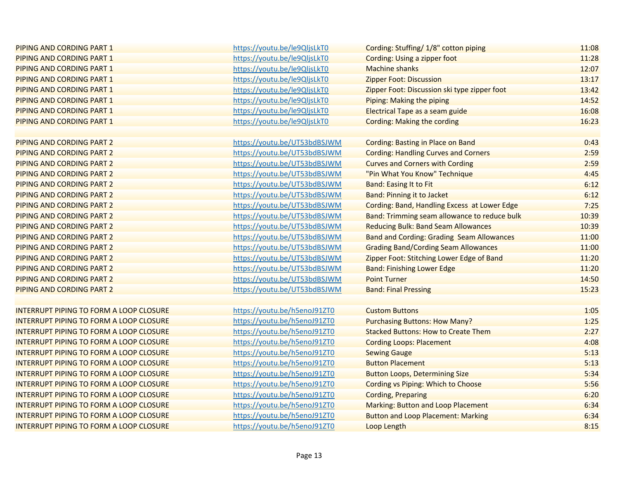| <b>PIPING AND CORDING PART 1</b>               | https://youtu.be/le9QljsLkT0 | Cording: Stuffing/ 1/8" cotton piping               | 11:08 |
|------------------------------------------------|------------------------------|-----------------------------------------------------|-------|
| <b>PIPING AND CORDING PART 1</b>               | https://youtu.be/le9QljsLkT0 | Cording: Using a zipper foot                        | 11:28 |
| <b>PIPING AND CORDING PART 1</b>               | https://youtu.be/le9QljsLkT0 | <b>Machine shanks</b>                               | 12:07 |
| PIPING AND CORDING PART 1                      | https://youtu.be/le9QljsLkT0 | <b>Zipper Foot: Discussion</b>                      | 13:17 |
| <b>PIPING AND CORDING PART 1</b>               | https://youtu.be/le9QljsLkT0 | Zipper Foot: Discussion ski type zipper foot        | 13:42 |
| <b>PIPING AND CORDING PART 1</b>               | https://youtu.be/le9QljsLkT0 | Piping: Making the piping                           | 14:52 |
| <b>PIPING AND CORDING PART 1</b>               | https://youtu.be/le9QljsLkT0 | Electrical Tape as a seam guide                     | 16:08 |
| PIPING AND CORDING PART 1                      | https://youtu.be/le9QljsLkT0 | <b>Cording: Making the cording</b>                  | 16:23 |
|                                                |                              |                                                     |       |
| PIPING AND CORDING PART 2                      | https://youtu.be/UT53bdBSJWM | <b>Cording: Basting in Place on Band</b>            | 0:43  |
| PIPING AND CORDING PART 2                      | https://youtu.be/UT53bdBSJWM | <b>Cording: Handling Curves and Corners</b>         | 2:59  |
| <b>PIPING AND CORDING PART 2</b>               | https://youtu.be/UT53bdBSJWM | <b>Curves and Corners with Cording</b>              | 2:59  |
| PIPING AND CORDING PART 2                      | https://youtu.be/UT53bdBSJWM | "Pin What You Know" Technique                       | 4:45  |
| PIPING AND CORDING PART 2                      | https://youtu.be/UT53bdBSJWM | <b>Band: Easing It to Fit</b>                       | 6:12  |
| PIPING AND CORDING PART 2                      | https://youtu.be/UT53bdBSJWM | <b>Band: Pinning it to Jacket</b>                   | 6:12  |
| PIPING AND CORDING PART 2                      | https://youtu.be/UT53bdBSJWM | <b>Cording: Band, Handling Excess at Lower Edge</b> | 7:25  |
| PIPING AND CORDING PART 2                      | https://youtu.be/UT53bdBSJWM | Band: Trimming seam allowance to reduce bulk        | 10:39 |
| PIPING AND CORDING PART 2                      | https://youtu.be/UT53bdBSJWM | <b>Reducing Bulk: Band Seam Allowances</b>          | 10:39 |
| PIPING AND CORDING PART 2                      | https://youtu.be/UT53bdBSJWM | <b>Band and Cording: Grading Seam Allowances</b>    | 11:00 |
| PIPING AND CORDING PART 2                      | https://youtu.be/UT53bdBSJWM | <b>Grading Band/Cording Seam Allowances</b>         | 11:00 |
| <b>PIPING AND CORDING PART 2</b>               | https://youtu.be/UT53bdBSJWM | Zipper Foot: Stitching Lower Edge of Band           | 11:20 |
| PIPING AND CORDING PART 2                      | https://youtu.be/UT53bdBSJWM | <b>Band: Finishing Lower Edge</b>                   | 11:20 |
| <b>PIPING AND CORDING PART 2</b>               | https://youtu.be/UT53bdBSJWM | <b>Point Turner</b>                                 | 14:50 |
| <b>PIPING AND CORDING PART 2</b>               | https://youtu.be/UT53bdBSJWM | <b>Band: Final Pressing</b>                         | 15:23 |
|                                                |                              |                                                     |       |
| <b>INTERRUPT PIPING TO FORM A LOOP CLOSURE</b> | https://youtu.be/h5enoJ91ZT0 | <b>Custom Buttons</b>                               | 1:05  |
| INTERRUPT PIPING TO FORM A LOOP CLOSURE        | https://youtu.be/h5enoJ91ZT0 | <b>Purchasing Buttons: How Many?</b>                | 1:25  |
| <b>INTERRUPT PIPING TO FORM A LOOP CLOSURE</b> | https://youtu.be/h5enoJ91ZT0 | <b>Stacked Buttons: How to Create Them</b>          | 2:27  |
| INTERRUPT PIPING TO FORM A LOOP CLOSURE        | https://youtu.be/h5enoJ91ZT0 | <b>Cording Loops: Placement</b>                     | 4:08  |
| <b>INTERRUPT PIPING TO FORM A LOOP CLOSURE</b> | https://youtu.be/h5enoJ91ZT0 | <b>Sewing Gauge</b>                                 | 5:13  |
| <b>INTERRUPT PIPING TO FORM A LOOP CLOSURE</b> | https://youtu.be/h5enoJ91ZT0 | <b>Button Placement</b>                             | 5:13  |
| INTERRUPT PIPING TO FORM A LOOP CLOSURE        | https://youtu.be/h5enoJ91ZT0 | <b>Button Loops, Determining Size</b>               | 5:34  |
| <b>INTERRUPT PIPING TO FORM A LOOP CLOSURE</b> | https://youtu.be/h5enoJ91ZT0 | Cording vs Piping: Which to Choose                  | 5:56  |
| <b>INTERRUPT PIPING TO FORM A LOOP CLOSURE</b> | https://youtu.be/h5enoJ91ZT0 | <b>Cording, Preparing</b>                           | 6:20  |
| <b>INTERRUPT PIPING TO FORM A LOOP CLOSURE</b> | https://youtu.be/h5enoJ91ZT0 | Marking: Button and Loop Placement                  | 6:34  |
| <b>INTERRUPT PIPING TO FORM A LOOP CLOSURE</b> | https://youtu.be/h5enoJ91ZT0 | <b>Button and Loop Placement: Marking</b>           | 6:34  |
| <b>INTERRUPT PIPING TO FORM A LOOP CLOSURE</b> | https://youtu.be/h5enoJ91ZT0 | Loop Length                                         | 8:15  |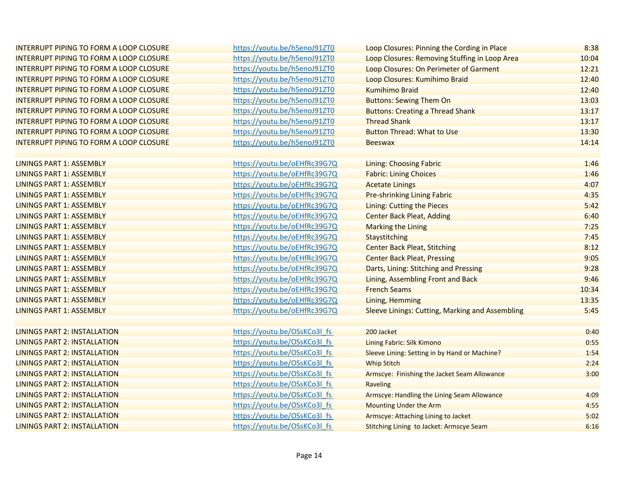| INTERRUPT PIPING TO FORM A LOOP CLOSURE        | https://youtu.be/h5enoJ91ZT0 | Loop Closures: Pinning the Cording in Place            | 8:38  |
|------------------------------------------------|------------------------------|--------------------------------------------------------|-------|
| INTERRUPT PIPING TO FORM A LOOP CLOSURE        | https://youtu.be/h5enoJ91ZT0 | Loop Closures: Removing Stuffing in Loop Area          | 10:04 |
| INTERRUPT PIPING TO FORM A LOOP CLOSURE        | https://youtu.be/h5enoJ91ZT0 | Loop Closures: On Perimeter of Garment                 | 12:21 |
| <b>INTERRUPT PIPING TO FORM A LOOP CLOSURE</b> | https://youtu.be/h5enoJ91ZT0 | Loop Closures: Kumihimo Braid                          | 12:40 |
| INTERRUPT PIPING TO FORM A LOOP CLOSURE        | https://youtu.be/h5enoJ91ZT0 | <b>Kumihimo Braid</b>                                  | 12:40 |
| INTERRUPT PIPING TO FORM A LOOP CLOSURE        | https://youtu.be/h5enoJ91ZT0 | <b>Buttons: Sewing Them On</b>                         | 13:03 |
| INTERRUPT PIPING TO FORM A LOOP CLOSURE        | https://youtu.be/h5enoJ91ZT0 | <b>Buttons: Creating a Thread Shank</b>                | 13:17 |
| INTERRUPT PIPING TO FORM A LOOP CLOSURE        | https://youtu.be/h5enoJ91ZT0 | <b>Thread Shank</b>                                    | 13:17 |
| INTERRUPT PIPING TO FORM A LOOP CLOSURE        | https://youtu.be/h5enoJ91ZT0 | <b>Button Thread: What to Use</b>                      | 13:30 |
| <b>INTERRUPT PIPING TO FORM A LOOP CLOSURE</b> | https://youtu.be/h5enoJ91ZT0 | <b>Beeswax</b>                                         | 14:14 |
|                                                |                              |                                                        |       |
| <b>LININGS PART 1: ASSEMBLY</b>                | https://youtu.be/oEHfRc39G7Q | <b>Lining: Choosing Fabric</b>                         | 1:46  |
| <b>LININGS PART 1: ASSEMBLY</b>                | https://youtu.be/oEHfRc39G7Q | <b>Fabric: Lining Choices</b>                          | 1:46  |
| <b>LININGS PART 1: ASSEMBLY</b>                | https://youtu.be/oEHfRc39G7Q | <b>Acetate Linings</b>                                 | 4:07  |
| <b>LININGS PART 1: ASSEMBLY</b>                | https://youtu.be/oEHfRc39G7Q | <b>Pre-shrinking Lining Fabric</b>                     | 4:35  |
| <b>LININGS PART 1: ASSEMBLY</b>                | https://youtu.be/oEHfRc39G7Q | Lining: Cutting the Pieces                             | 5:42  |
| <b>LININGS PART 1: ASSEMBLY</b>                | https://youtu.be/oEHfRc39G7Q | <b>Center Back Pleat, Adding</b>                       | 6:40  |
| <b>LININGS PART 1: ASSEMBLY</b>                | https://youtu.be/oEHfRc39G7Q | <b>Marking the Lining</b>                              | 7:25  |
| <b>LININGS PART 1: ASSEMBLY</b>                | https://youtu.be/oEHfRc39G7Q | Staystitching                                          | 7:45  |
| <b>LININGS PART 1: ASSEMBLY</b>                | https://youtu.be/oEHfRc39G7Q | <b>Center Back Pleat, Stitching</b>                    | 8:12  |
| <b>LININGS PART 1: ASSEMBLY</b>                | https://youtu.be/oEHfRc39G7Q | <b>Center Back Pleat, Pressing</b>                     | 9:05  |
| <b>LININGS PART 1: ASSEMBLY</b>                | https://youtu.be/oEHfRc39G7Q | Darts, Lining: Stitching and Pressing                  | 9:28  |
| <b>LININGS PART 1: ASSEMBLY</b>                | https://youtu.be/oEHfRc39G7Q | Lining, Assembling Front and Back                      | 9:46  |
| <b>LININGS PART 1: ASSEMBLY</b>                | https://youtu.be/oEHfRc39G7Q | <b>French Seams</b>                                    | 10:34 |
| <b>LININGS PART 1: ASSEMBLY</b>                | https://youtu.be/oEHfRc39G7Q | Lining, Hemming                                        | 13:35 |
| <b>LININGS PART 1: ASSEMBLY</b>                | https://youtu.be/oEHfRc39G7Q | <b>Sleeve Linings: Cutting, Marking and Assembling</b> | 5:45  |
|                                                |                              |                                                        |       |
| <b>LININGS PART 2: INSTALLATION</b>            | https://youtu.be/OSsKCo3l fs | 200 Jacket                                             | 0:40  |
| <b>LININGS PART 2: INSTALLATION</b>            | https://youtu.be/OSsKCo3l fs | Lining Fabric: Silk Kimono                             | 0:55  |
| <b>LININGS PART 2: INSTALLATION</b>            | https://youtu.be/OSsKCo3l fs | Sleeve Lining: Setting in by Hand or Machine?          | 1:54  |
| <b>LININGS PART 2: INSTALLATION</b>            | https://youtu.be/OSsKCo3l_fs | <b>Whip Stitch</b>                                     | 2:24  |
| <b>LININGS PART 2: INSTALLATION</b>            | https://youtu.be/OSsKCo3l fs | Armscye: Finishing the Jacket Seam Allowance           | 3:00  |
| LININGS PART 2: INSTALLATION                   | https://youtu.be/OSsKCo3l fs | Raveling                                               |       |
| <b>LININGS PART 2: INSTALLATION</b>            | https://youtu.be/OSsKCo3l fs | Armscye: Handling the Lining Seam Allowance            | 4:09  |
| <b>LININGS PART 2: INSTALLATION</b>            | https://youtu.be/OSsKCo3l fs | Mounting Under the Arm                                 | 4:55  |
| <b>LININGS PART 2: INSTALLATION</b>            | https://youtu.be/OSsKCo3l fs | Armscye: Attaching Lining to Jacket                    | 5:02  |
| <b>LININGS PART 2: INSTALLATION</b>            | https://youtu.be/OSsKCo3l_fs | <b>Stitching Lining to Jacket: Armscye Seam</b>        | 6:16  |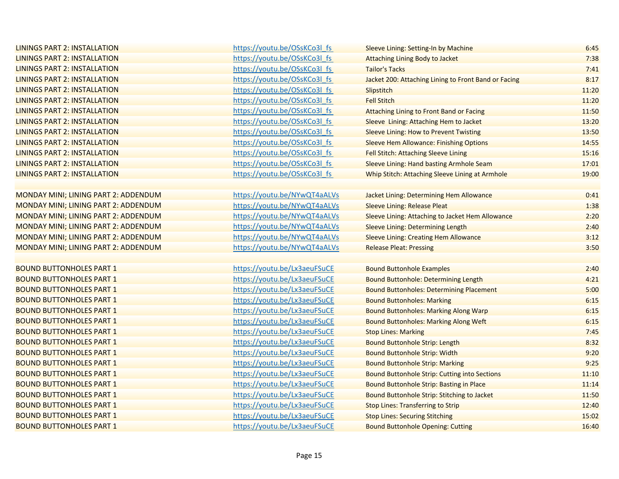| LININGS PART 2: INSTALLATION         | https://youtu.be/OSsKCo3l fs | Sleeve Lining: Setting-In by Machine                 | 6:45  |
|--------------------------------------|------------------------------|------------------------------------------------------|-------|
| LININGS PART 2: INSTALLATION         | https://youtu.be/OSsKCo3l fs | Attaching Lining Body to Jacket                      | 7:38  |
| <b>LININGS PART 2: INSTALLATION</b>  | https://youtu.be/OSsKCo3l fs | <b>Tailor's Tacks</b>                                | 7:41  |
| LININGS PART 2: INSTALLATION         | https://youtu.be/OSsKCo3l fs | Jacket 200: Attaching Lining to Front Band or Facing | 8:17  |
| LININGS PART 2: INSTALLATION         | https://youtu.be/OSsKCo3l fs | Slipstitch                                           | 11:20 |
| <b>LININGS PART 2: INSTALLATION</b>  | https://youtu.be/OSsKCo3l fs | <b>Fell Stitch</b>                                   | 11:20 |
| <b>LININGS PART 2: INSTALLATION</b>  | https://youtu.be/OSsKCo3l fs | <b>Attaching Lining to Front Band or Facing</b>      | 11:50 |
| <b>LININGS PART 2: INSTALLATION</b>  | https://youtu.be/OSsKCo3l fs | Sleeve Lining: Attaching Hem to Jacket               | 13:20 |
| LININGS PART 2: INSTALLATION         | https://youtu.be/OSsKCo3l fs | <b>Sleeve Lining: How to Prevent Twisting</b>        | 13:50 |
| LININGS PART 2: INSTALLATION         | https://youtu.be/OSsKCo3l fs | <b>Sleeve Hem Allowance: Finishing Options</b>       | 14:55 |
| <b>LININGS PART 2: INSTALLATION</b>  | https://youtu.be/OSsKCo3l fs | Fell Stitch: Attaching Sleeve Lining                 | 15:16 |
| <b>LININGS PART 2: INSTALLATION</b>  | https://youtu.be/OSsKCo3l_fs | Sleeve Lining: Hand basting Armhole Seam             | 17:01 |
| LININGS PART 2: INSTALLATION         | https://youtu.be/OSsKCo3l fs | Whip Stitch: Attaching Sleeve Lining at Armhole      | 19:00 |
|                                      |                              |                                                      |       |
| MONDAY MINI; LINING PART 2: ADDENDUM | https://youtu.be/NYwQT4aALVs | Jacket Lining: Determining Hem Allowance             | 0:41  |
| MONDAY MINI; LINING PART 2: ADDENDUM | https://youtu.be/NYwQT4aALVs | <b>Sleeve Lining: Release Pleat</b>                  | 1:38  |
| MONDAY MINI; LINING PART 2: ADDENDUM | https://youtu.be/NYwQT4aALVs | Sleeve Lining: Attaching to Jacket Hem Allowance     | 2:20  |
| MONDAY MINI; LINING PART 2: ADDENDUM | https://youtu.be/NYwQT4aALVs | <b>Sleeve Lining: Determining Length</b>             | 2:40  |
| MONDAY MINI; LINING PART 2: ADDENDUM | https://youtu.be/NYwQT4aALVs | <b>Sleeve Lining: Creating Hem Allowance</b>         | 3:12  |
| MONDAY MINI; LINING PART 2: ADDENDUM | https://youtu.be/NYwQT4aALVs | <b>Release Pleat: Pressing</b>                       | 3:50  |
|                                      |                              |                                                      |       |
| <b>BOUND BUTTONHOLES PART 1</b>      | https://youtu.be/Lx3aeuFSuCE | <b>Bound Buttonhole Examples</b>                     | 2:40  |
| <b>BOUND BUTTONHOLES PART 1</b>      | https://youtu.be/Lx3aeuFSuCE | <b>Bound Buttonhole: Determining Length</b>          | 4:21  |
| <b>BOUND BUTTONHOLES PART 1</b>      | https://youtu.be/Lx3aeuFSuCE | <b>Bound Buttonholes: Determining Placement</b>      | 5:00  |
| <b>BOUND BUTTONHOLES PART 1</b>      | https://youtu.be/Lx3aeuFSuCE | <b>Bound Buttonholes: Marking</b>                    | 6:15  |
| <b>BOUND BUTTONHOLES PART 1</b>      | https://youtu.be/Lx3aeuFSuCE | <b>Bound Buttonholes: Marking Along Warp</b>         | 6:15  |
| <b>BOUND BUTTONHOLES PART 1</b>      | https://youtu.be/Lx3aeuFSuCE | <b>Bound Buttonholes: Marking Along Weft</b>         | 6:15  |
| <b>BOUND BUTTONHOLES PART 1</b>      | https://youtu.be/Lx3aeuFSuCE | <b>Stop Lines: Marking</b>                           | 7:45  |
| <b>BOUND BUTTONHOLES PART 1</b>      | https://youtu.be/Lx3aeuFSuCE | <b>Bound Buttonhole Strip: Length</b>                | 8:32  |
| <b>BOUND BUTTONHOLES PART 1</b>      | https://youtu.be/Lx3aeuFSuCE | <b>Bound Buttonhole Strip: Width</b>                 | 9:20  |
| <b>BOUND BUTTONHOLES PART 1</b>      | https://youtu.be/Lx3aeuFSuCE | <b>Bound Buttonhole Strip: Marking</b>               | 9:25  |
| <b>BOUND BUTTONHOLES PART 1</b>      | https://youtu.be/Lx3aeuFSuCE | <b>Bound Buttonhole Strip: Cutting into Sections</b> | 11:10 |
| <b>BOUND BUTTONHOLES PART 1</b>      | https://youtu.be/Lx3aeuFSuCE | Bound Buttonhole Strip: Basting in Place             | 11:14 |
| <b>BOUND BUTTONHOLES PART 1</b>      | https://youtu.be/Lx3aeuFSuCE | Bound Buttonhole Strip: Stitching to Jacket          | 11:50 |
| <b>BOUND BUTTONHOLES PART 1</b>      | https://youtu.be/Lx3aeuFSuCE | <b>Stop Lines: Transferring to Strip</b>             | 12:40 |
| <b>BOUND BUTTONHOLES PART 1</b>      | https://youtu.be/Lx3aeuFSuCE | <b>Stop Lines: Securing Stitching</b>                | 15:02 |
| <b>BOUND BUTTONHOLES PART 1</b>      | https://youtu.be/Lx3aeuFSuCE | <b>Bound Buttonhole Opening: Cutting</b>             | 16:40 |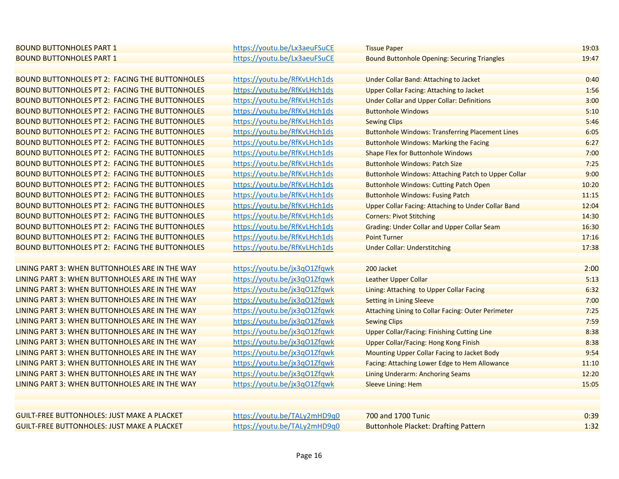| <b>BOUND BUTTONHOLES PART 1</b>                       | https://youtu.be/Lx3aeuFSuCE | <b>Tissue Paper</b>                                        | 19:03 |
|-------------------------------------------------------|------------------------------|------------------------------------------------------------|-------|
| <b>BOUND BUTTONHOLES PART 1</b>                       | https://youtu.be/Lx3aeuFSuCE | <b>Bound Buttonhole Opening: Securing Triangles</b>        | 19:47 |
|                                                       |                              |                                                            |       |
| <b>BOUND BUTTONHOLES PT 2: FACING THE BUTTONHOLES</b> | https://youtu.be/RfKvLHch1ds | <b>Under Collar Band: Attaching to Jacket</b>              | 0:40  |
| <b>BOUND BUTTONHOLES PT 2: FACING THE BUTTONHOLES</b> | https://youtu.be/RfKvLHch1ds | <b>Upper Collar Facing: Attaching to Jacket</b>            | 1:56  |
| <b>BOUND BUTTONHOLES PT 2: FACING THE BUTTONHOLES</b> | https://youtu.be/RfKvLHch1ds | <b>Under Collar and Upper Collar: Definitions</b>          | 3:00  |
| <b>BOUND BUTTONHOLES PT 2: FACING THE BUTTONHOLES</b> | https://youtu.be/RfKvLHch1ds | <b>Buttonhole Windows</b>                                  | 5:10  |
| <b>BOUND BUTTONHOLES PT 2: FACING THE BUTTONHOLES</b> | https://youtu.be/RfKvLHch1ds | <b>Sewing Clips</b>                                        | 5:46  |
| <b>BOUND BUTTONHOLES PT 2: FACING THE BUTTONHOLES</b> | https://youtu.be/RfKvLHch1ds | <b>Buttonhole Windows: Transferring Placement Lines</b>    | 6:05  |
| <b>BOUND BUTTONHOLES PT 2: FACING THE BUTTONHOLES</b> | https://youtu.be/RfKvLHch1ds | <b>Buttonhole Windows: Marking the Facing</b>              | 6:27  |
| <b>BOUND BUTTONHOLES PT 2: FACING THE BUTTONHOLES</b> | https://youtu.be/RfKvLHch1ds | <b>Shape Flex for Buttonhole Windows</b>                   | 7:00  |
| <b>BOUND BUTTONHOLES PT 2: FACING THE BUTTONHOLES</b> | https://youtu.be/RfKvLHch1ds | <b>Buttonhole Windows: Patch Size</b>                      | 7:25  |
| <b>BOUND BUTTONHOLES PT 2: FACING THE BUTTONHOLES</b> | https://youtu.be/RfKvLHch1ds | <b>Buttonhole Windows: Attaching Patch to Upper Collar</b> | 9:00  |
| <b>BOUND BUTTONHOLES PT 2: FACING THE BUTTONHOLES</b> | https://youtu.be/RfKvLHch1ds | <b>Buttonhole Windows: Cutting Patch Open</b>              | 10:20 |
| <b>BOUND BUTTONHOLES PT 2: FACING THE BUTTONHOLES</b> | https://youtu.be/RfKvLHch1ds | <b>Buttonhole Windows: Fusing Patch</b>                    | 11:15 |
| <b>BOUND BUTTONHOLES PT 2: FACING THE BUTTONHOLES</b> | https://youtu.be/RfKvLHch1ds | <b>Upper Collar Facing: Attaching to Under Collar Band</b> | 12:04 |
| <b>BOUND BUTTONHOLES PT 2: FACING THE BUTTONHOLES</b> | https://youtu.be/RfKvLHch1ds | <b>Corners: Pivot Stitching</b>                            | 14:30 |
| <b>BOUND BUTTONHOLES PT 2: FACING THE BUTTONHOLES</b> | https://youtu.be/RfKvLHch1ds | <b>Grading: Under Collar and Upper Collar Seam</b>         | 16:30 |
| <b>BOUND BUTTONHOLES PT 2: FACING THE BUTTONHOLES</b> | https://youtu.be/RfKvLHch1ds | <b>Point Turner</b>                                        | 17:16 |
| <b>BOUND BUTTONHOLES PT 2: FACING THE BUTTONHOLES</b> | https://youtu.be/RfKvLHch1ds | <b>Under Collar: Understitching</b>                        | 17:38 |
|                                                       |                              |                                                            |       |
| LINING PART 3: WHEN BUTTONHOLES ARE IN THE WAY        | https://youtu.be/jx3qO1Zfqwk | 200 Jacket                                                 | 2:00  |
| LINING PART 3: WHEN BUTTONHOLES ARE IN THE WAY        | https://youtu.be/jx3q01Zfqwk | Leather Upper Collar                                       | 5:13  |
| LINING PART 3: WHEN BUTTONHOLES ARE IN THE WAY        | https://youtu.be/jx3qO1Zfqwk | Lining: Attaching to Upper Collar Facing                   | 6:32  |
| LINING PART 3: WHEN BUTTONHOLES ARE IN THE WAY        | https://youtu.be/jx3qO1Zfqwk | <b>Setting in Lining Sleeve</b>                            | 7:00  |
| LINING PART 3: WHEN BUTTONHOLES ARE IN THE WAY        | https://youtu.be/jx3q01Zfqwk | Attaching Lining to Collar Facing: Outer Perimeter         | 7:25  |
| LINING PART 3: WHEN BUTTONHOLES ARE IN THE WAY        | https://youtu.be/jx3q01Zfqwk | <b>Sewing Clips</b>                                        | 7:59  |
| LINING PART 3: WHEN BUTTONHOLES ARE IN THE WAY        | https://youtu.be/jx3q01Zfqwk | <b>Upper Collar/Facing: Finishing Cutting Line</b>         | 8:38  |
| LINING PART 3: WHEN BUTTONHOLES ARE IN THE WAY        | https://youtu.be/jx3q01Zfqwk | <b>Upper Collar/Facing: Hong Kong Finish</b>               | 8:38  |
| LINING PART 3: WHEN BUTTONHOLES ARE IN THE WAY        | https://youtu.be/jx3q01Zfqwk | Mounting Upper Collar Facing to Jacket Body                | 9:54  |
| LINING PART 3: WHEN BUTTONHOLES ARE IN THE WAY        | https://youtu.be/jx3qO1Zfqwk | Facing: Attaching Lower Edge to Hem Allowance              | 11:10 |
| LINING PART 3: WHEN BUTTONHOLES ARE IN THE WAY        | https://youtu.be/jx3q01Zfqwk | <b>Lining Underarm: Anchoring Seams</b>                    | 12:20 |
| LINING PART 3: WHEN BUTTONHOLES ARE IN THE WAY        | https://youtu.be/jx3qO1Zfqwk | <b>Sleeve Lining: Hem</b>                                  | 15:05 |
|                                                       |                              |                                                            |       |
|                                                       |                              |                                                            |       |
| <b>GUILT-FREE BUTTONHOLES: JUST MAKE A PLACKET</b>    | https://youtu.be/TALy2mHD9q0 | 700 and 1700 Tunic                                         | 0:39  |
| <b>GUILT-FREE BUTTONHOLES: JUST MAKE A PLACKET</b>    | https://youtu.be/TALy2mHD9q0 | <b>Buttonhole Placket: Drafting Pattern</b>                | 1:32  |
|                                                       |                              |                                                            |       |